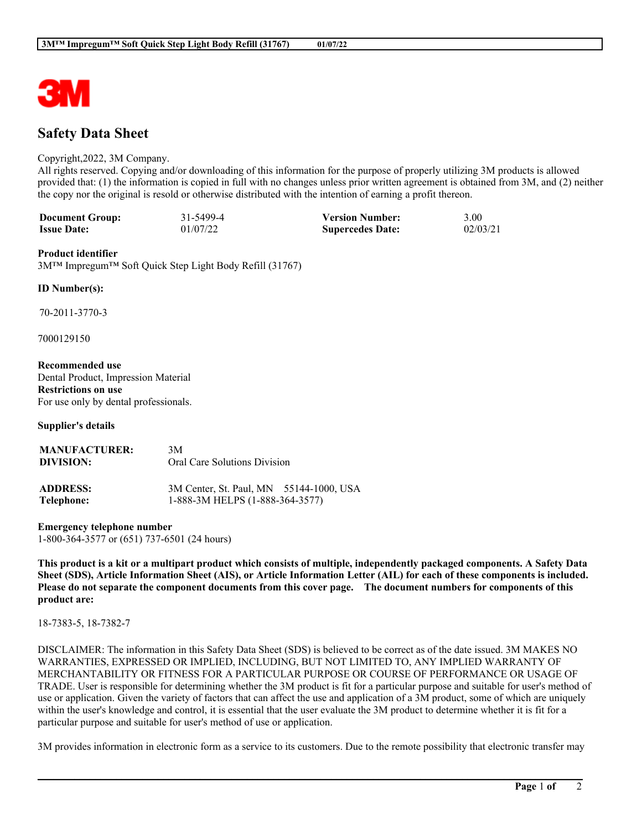

# **Safety Data Sheet**

#### Copyright,2022, 3M Company.

All rights reserved. Copying and/or downloading of this information for the purpose of properly utilizing 3M products is allowed provided that: (1) the information is copied in full with no changes unless prior written agreement is obtained from 3M, and (2) neither the copy nor the original is resold or otherwise distributed with the intention of earning a profit thereon.

| <b>Document Group:</b> | 31-5499-4 | <b>Version Number:</b>  | 3.00     |
|------------------------|-----------|-------------------------|----------|
| <b>Issue Date:</b>     | 01/07/22  | <b>Supercedes Date:</b> | 02/03/21 |

#### **Product identifier**

3M™ Impregum™ Soft Quick Step Light Body Refill (31767)

#### **ID Number(s):**

70-2011-3770-3

7000129150

**Recommended use** Dental Product, Impression Material **Restrictions on use** For use only by dental professionals.

**Supplier's details**

| <b>MANUFACTURER:</b><br>DIVISION: | 3M<br>Oral Care Solutions Division |  |
|-----------------------------------|------------------------------------|--|
| ADDRESS.                          | $3M$ Center St Paul MN $55144.1$   |  |

| <b>ADDRESS:</b> | 3M Center, St. Paul, MN 55144-1000, USA |  |
|-----------------|-----------------------------------------|--|
| Telephone:      | 1-888-3M HELPS (1-888-364-3577)         |  |

**Emergency telephone number** 1-800-364-3577 or (651) 737-6501 (24 hours)

This product is a kit or a multipart product which consists of multiple, independently packaged components. A Safety Data Sheet (SDS), Article Information Sheet (AIS), or Article Information Letter (AIL) for each of these components is included. Please do not separate the component documents from this cover page. The document numbers for components of this **product are:**

18-7383-5, 18-7382-7

DISCLAIMER: The information in this Safety Data Sheet (SDS) is believed to be correct as of the date issued. 3M MAKES NO WARRANTIES, EXPRESSED OR IMPLIED, INCLUDING, BUT NOT LIMITED TO, ANY IMPLIED WARRANTY OF MERCHANTABILITY OR FITNESS FOR A PARTICULAR PURPOSE OR COURSE OF PERFORMANCE OR USAGE OF TRADE. User is responsible for determining whether the 3M product is fit for a particular purpose and suitable for user's method of use or application. Given the variety of factors that can affect the use and application of a 3M product, some of which are uniquely within the user's knowledge and control, it is essential that the user evaluate the 3M product to determine whether it is fit for a particular purpose and suitable for user's method of use or application.

3M provides information in electronic form as a service to its customers. Due to the remote possibility that electronic transfer may

**\_\_\_\_\_\_\_\_\_\_\_\_\_\_\_\_\_\_\_\_\_\_\_\_\_\_\_\_\_\_\_\_\_\_\_\_\_\_\_\_\_\_\_\_\_\_\_\_\_\_\_\_\_\_\_\_\_\_\_\_\_\_\_\_\_\_\_\_\_\_\_\_\_\_\_\_\_\_\_\_\_\_\_\_\_\_\_\_\_\_\_\_\_\_\_\_\_\_\_\_\_\_\_\_**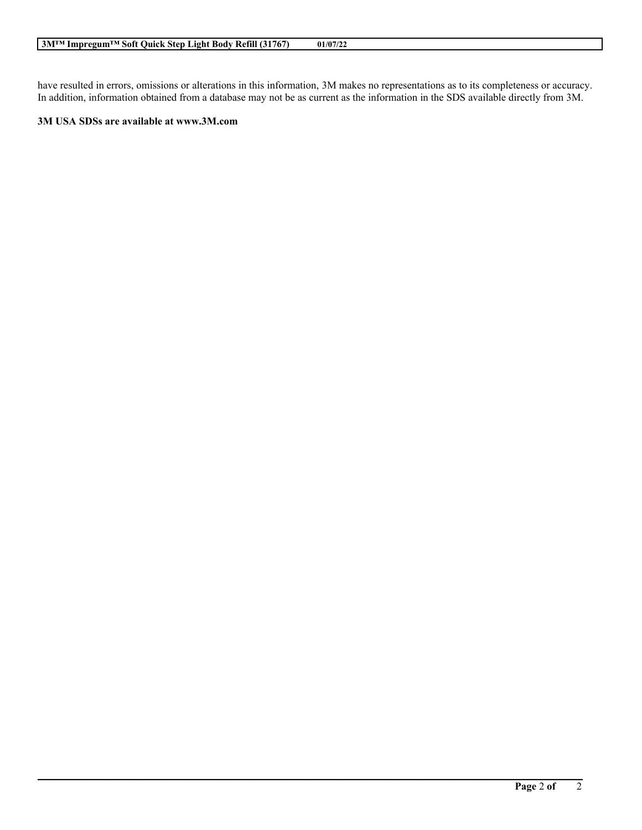have resulted in errors, omissions or alterations in this information, 3M makes no representations as to its completeness or accuracy. In addition, information obtained from a database may not be as current as the information in the SDS available directly from 3M.

**\_\_\_\_\_\_\_\_\_\_\_\_\_\_\_\_\_\_\_\_\_\_\_\_\_\_\_\_\_\_\_\_\_\_\_\_\_\_\_\_\_\_\_\_\_\_\_\_\_\_\_\_\_\_\_\_\_\_\_\_\_\_\_\_\_\_\_\_\_\_\_\_\_\_\_\_\_\_\_\_\_\_\_\_\_\_\_\_\_\_\_\_\_\_\_\_\_\_\_\_\_\_\_\_**

### **3M USA SDSs are available at www.3M.com**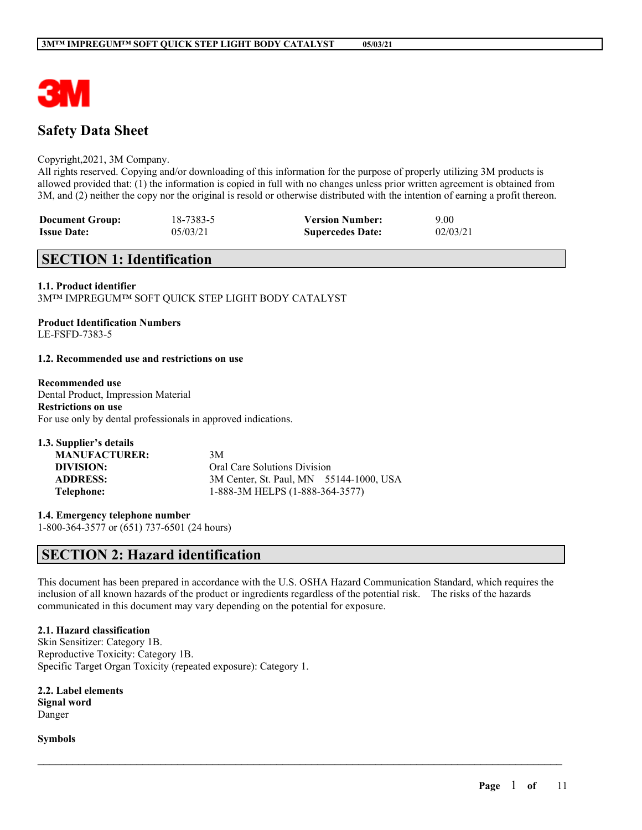

# **Safety Data Sheet**

#### Copyright,2021, 3M Company.

All rights reserved. Copying and/or downloading of this information for the purpose of properly utilizing 3M products is allowed provided that: (1) the information is copied in full with no changes unless prior written agreement is obtained from 3M, and (2) neither the copy nor the original is resold or otherwise distributed with the intention of earning a profit thereon.

| <b>Document Group:</b> | 18-7383-5 | <b>Version Number:</b>  | 9.00     |
|------------------------|-----------|-------------------------|----------|
| <b>Issue Date:</b>     | 05/03/21  | <b>Supercedes Date:</b> | 02/03/21 |

# **SECTION 1: Identification**

#### **1.1. Product identifier**

3M™ IMPREGUM™ SOFT QUICK STEP LIGHT BODY CATALYST

#### **Product Identification Numbers** LE-FSFD-7383-5

#### **1.2. Recommended use and restrictions on use**

#### **Recommended use**

Dental Product, Impression Material **Restrictions on use** For use only by dental professionals in approved indications.

| 1.3. Supplier's details |                                         |  |
|-------------------------|-----------------------------------------|--|
| <b>MANUFACTURER:</b>    | 3M                                      |  |
| DIVISION:               | Oral Care Solutions Division            |  |
| <b>ADDRESS:</b>         | 3M Center, St. Paul, MN 55144-1000, USA |  |
| Telephone:              | 1-888-3M HELPS (1-888-364-3577)         |  |

**1.4. Emergency telephone number** 1-800-364-3577 or (651) 737-6501 (24 hours)

# **SECTION 2: Hazard identification**

This document has been prepared in accordance with the U.S. OSHA Hazard Communication Standard, which requires the inclusion of all known hazards of the product or ingredients regardless of the potential risk. The risks of the hazards communicated in this document may vary depending on the potential for exposure.

 $\mathcal{L}_\mathcal{L} = \mathcal{L}_\mathcal{L} = \mathcal{L}_\mathcal{L} = \mathcal{L}_\mathcal{L} = \mathcal{L}_\mathcal{L} = \mathcal{L}_\mathcal{L} = \mathcal{L}_\mathcal{L} = \mathcal{L}_\mathcal{L} = \mathcal{L}_\mathcal{L} = \mathcal{L}_\mathcal{L} = \mathcal{L}_\mathcal{L} = \mathcal{L}_\mathcal{L} = \mathcal{L}_\mathcal{L} = \mathcal{L}_\mathcal{L} = \mathcal{L}_\mathcal{L} = \mathcal{L}_\mathcal{L} = \mathcal{L}_\mathcal{L}$ 

### **2.1. Hazard classification**

Skin Sensitizer: Category 1B. Reproductive Toxicity: Category 1B. Specific Target Organ Toxicity (repeated exposure): Category 1.

**2.2. Label elements Signal word** Danger

**Symbols**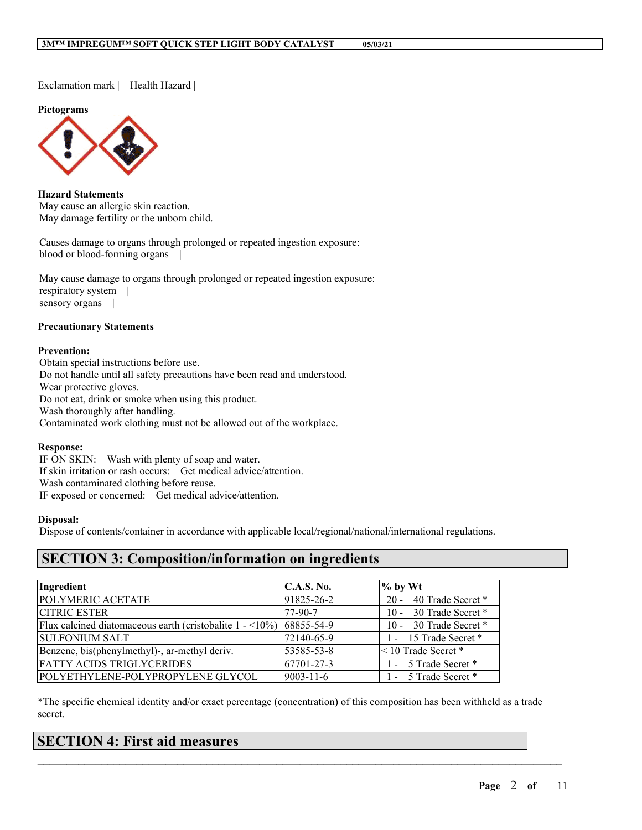Exclamation mark | Health Hazard |

**Pictograms**



**Hazard Statements** May cause an allergic skin reaction. May damage fertility or the unborn child.

Causes damage to organs through prolonged or repeated ingestion exposure: blood or blood-forming organs |

May cause damage to organs through prolonged or repeated ingestion exposure: respiratory system | sensory organs |

#### **Precautionary Statements**

#### **Prevention:**

Obtain special instructions before use. Do not handle until all safety precautions have been read and understood. Wear protective gloves. Do not eat, drink or smoke when using this product. Wash thoroughly after handling. Contaminated work clothing must not be allowed out of the workplace.

#### **Response:**

IF ON SKIN: Wash with plenty of soap and water. If skin irritation or rash occurs: Get medical advice/attention. Wash contaminated clothing before reuse. IF exposed or concerned: Get medical advice/attention.

#### **Disposal:**

Dispose of contents/container in accordance with applicable local/regional/national/international regulations.

# **SECTION 3: Composition/information on ingredients**

| Ingredient                                                                           | C.A.S. No.      | $\%$ by Wt                  |
|--------------------------------------------------------------------------------------|-----------------|-----------------------------|
| POLYMERIC ACETATE                                                                    | 91825-26-2      | 40 Trade Secret *<br>$20 -$ |
| <b>CITRIC ESTER</b>                                                                  | 77-90-7         | 10 - 30 Trade Secret *      |
| Flux calcined diatomaceous earth (cristobalite $1 - \langle 10\% \rangle$ 68855-54-9 |                 | 10 - 30 Trade Secret *      |
| <b>SULFONIUM SALT</b>                                                                | 72140-65-9      | 1 - 15 Trade Secret *       |
| Benzene, bis(phenylmethyl)-, ar-methyl deriv.                                        | 53585-53-8      | $<$ 10 Trade Secret $*$     |
| <b>FATTY ACIDS TRIGLYCERIDES</b>                                                     | 67701-27-3      | 1 - 5 Trade Secret *        |
| POLYETHYLENE-POLYPROPYLENE GLYCOL                                                    | $9003 - 11 - 6$ | 1 - 5 Trade Secret *        |

\*The specific chemical identity and/or exact percentage (concentration) of this composition has been withheld as a trade secret.

 $\mathcal{L}_\mathcal{L} = \mathcal{L}_\mathcal{L} = \mathcal{L}_\mathcal{L} = \mathcal{L}_\mathcal{L} = \mathcal{L}_\mathcal{L} = \mathcal{L}_\mathcal{L} = \mathcal{L}_\mathcal{L} = \mathcal{L}_\mathcal{L} = \mathcal{L}_\mathcal{L} = \mathcal{L}_\mathcal{L} = \mathcal{L}_\mathcal{L} = \mathcal{L}_\mathcal{L} = \mathcal{L}_\mathcal{L} = \mathcal{L}_\mathcal{L} = \mathcal{L}_\mathcal{L} = \mathcal{L}_\mathcal{L} = \mathcal{L}_\mathcal{L}$ 

# **SECTION 4: First aid measures**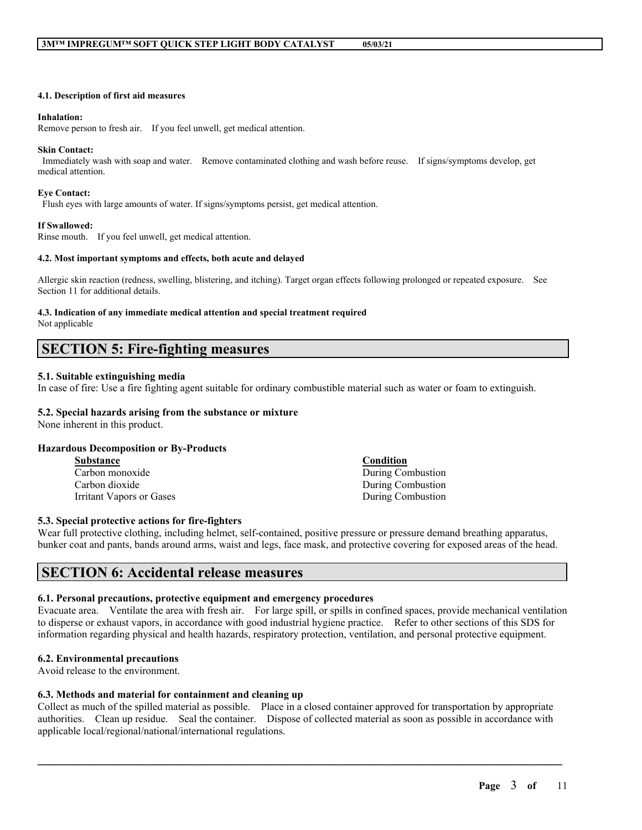#### **4.1. Description of first aid measures**

#### **Inhalation:**

Remove person to fresh air. If you feel unwell, get medical attention.

#### **Skin Contact:**

Immediately wash with soap and water. Remove contaminated clothing and wash before reuse. If signs/symptoms develop, get medical attention.

#### **Eye Contact:**

Flush eyes with large amounts of water. If signs/symptoms persist, get medical attention.

#### **If Swallowed:**

Rinse mouth. If you feel unwell, get medical attention.

#### **4.2. Most important symptoms and effects, both acute and delayed**

Allergic skin reaction (redness, swelling, blistering, and itching). Target organ effects following prolonged or repeated exposure. See Section 11 for additional details.

#### **4.3. Indication of any immediate medical attention and special treatment required** Not applicable

# **SECTION 5: Fire-fighting measures**

#### **5.1. Suitable extinguishing media**

In case of fire: Use a fire fighting agent suitable for ordinary combustible material such as water or foam to extinguish.

### **5.2. Special hazards arising from the substance or mixture**

None inherent in this product.

### **Hazardous Decomposition or By-Products**

**Substance Condition** Carbon monoxide During Combustion Carbon dioxide During Combustion Irritant Vapors or Gases During Combustion

#### **5.3. Special protective actions for fire-fighters**

Wear full protective clothing, including helmet, self-contained, positive pressure or pressure demand breathing apparatus, bunker coat and pants, bands around arms, waist and legs, face mask, and protective covering for exposed areas of the head.

# **SECTION 6: Accidental release measures**

#### **6.1. Personal precautions, protective equipment and emergency procedures**

Evacuate area. Ventilate the area with fresh air. For large spill, or spills in confined spaces, provide mechanical ventilation to disperse or exhaust vapors, in accordance with good industrial hygiene practice. Refer to other sections of this SDS for information regarding physical and health hazards, respiratory protection, ventilation, and personal protective equipment.

#### **6.2. Environmental precautions**

Avoid release to the environment.

#### **6.3. Methods and material for containment and cleaning up**

Collect as much of the spilled material as possible. Place in a closed container approved for transportation by appropriate authorities. Clean up residue. Seal the container. Dispose of collected material as soon as possible in accordance with applicable local/regional/national/international regulations.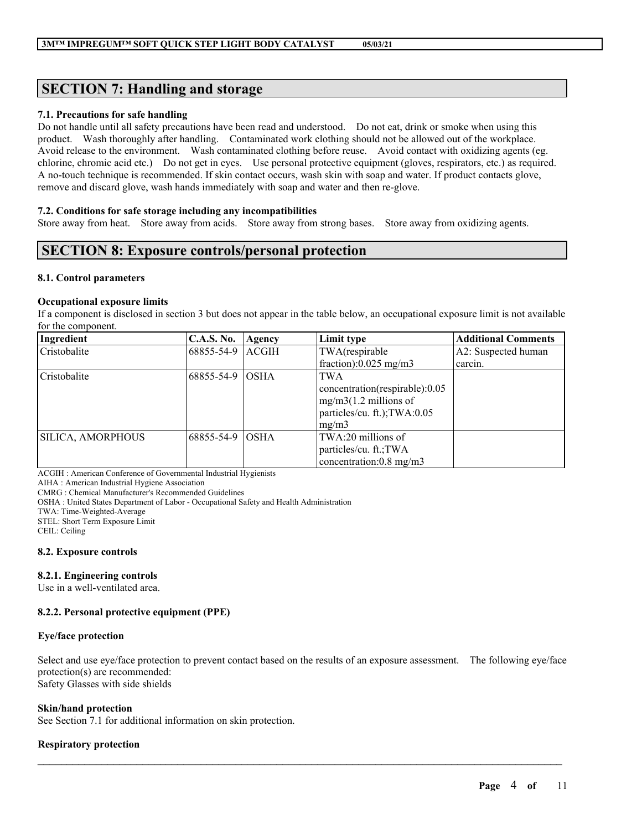# **SECTION 7: Handling and storage**

#### **7.1. Precautions for safe handling**

Do not handle until all safety precautions have been read and understood. Do not eat, drink or smoke when using this product. Wash thoroughly after handling. Contaminated work clothing should not be allowed out of the workplace. Avoid release to the environment. Wash contaminated clothing before reuse. Avoid contact with oxidizing agents (eg. chlorine, chromic acid etc.) Do not get in eyes. Use personal protective equipment (gloves, respirators, etc.) as required. A no-touch technique is recommended. If skin contact occurs, wash skin with soap and water. If product contacts glove, remove and discard glove, wash hands immediately with soap and water and then re-glove.

#### **7.2. Conditions for safe storage including any incompatibilities**

Store away from heat. Store away from acids. Store away from strong bases. Store away from oxidizing agents.

# **SECTION 8: Exposure controls/personal protection**

#### **8.1. Control parameters**

#### **Occupational exposure limits**

If a component is disclosed in section 3 but does not appear in the table below, an occupational exposure limit is not available for the component.

| Ingredient               | <b>C.A.S. No.</b> | Agency       | Limit type                                                                                              | <b>Additional Comments</b> |
|--------------------------|-------------------|--------------|---------------------------------------------------------------------------------------------------------|----------------------------|
| Cristobalite             | 68855-54-9        | <b>ACGIH</b> | TWA(respirable                                                                                          | A2: Suspected human        |
|                          |                   |              | fraction): $0.025$ mg/m3                                                                                | carcin.                    |
| Cristobalite             | 68855-54-9        | <b>OSHA</b>  | <b>TWA</b><br>concentration(respirable):0.05<br>$mg/m3(1.2$ millions of<br>particles/cu. ft.); TWA:0.05 |                            |
|                          |                   |              | mg/m3                                                                                                   |                            |
| <b>SILICA, AMORPHOUS</b> | 68855-54-9        | <b>OSHA</b>  | TWA:20 millions of                                                                                      |                            |
|                          |                   |              | particles/cu. ft.; TWA                                                                                  |                            |
|                          |                   |              | concentration:0.8 mg/m3                                                                                 |                            |

ACGIH : American Conference of Governmental Industrial Hygienists

AIHA : American Industrial Hygiene Association

CMRG : Chemical Manufacturer's Recommended Guidelines

OSHA : United States Department of Labor - Occupational Safety and Health Administration

TWA: Time-Weighted-Average

STEL: Short Term Exposure Limit

CEIL: Ceiling

#### **8.2. Exposure controls**

### **8.2.1. Engineering controls**

Use in a well-ventilated area.

### **8.2.2. Personal protective equipment (PPE)**

#### **Eye/face protection**

Select and use eye/face protection to prevent contact based on the results of an exposure assessment. The following eye/face protection(s) are recommended: Safety Glasses with side shields

 $\mathcal{L}_\mathcal{L} = \mathcal{L}_\mathcal{L} = \mathcal{L}_\mathcal{L} = \mathcal{L}_\mathcal{L} = \mathcal{L}_\mathcal{L} = \mathcal{L}_\mathcal{L} = \mathcal{L}_\mathcal{L} = \mathcal{L}_\mathcal{L} = \mathcal{L}_\mathcal{L} = \mathcal{L}_\mathcal{L} = \mathcal{L}_\mathcal{L} = \mathcal{L}_\mathcal{L} = \mathcal{L}_\mathcal{L} = \mathcal{L}_\mathcal{L} = \mathcal{L}_\mathcal{L} = \mathcal{L}_\mathcal{L} = \mathcal{L}_\mathcal{L}$ 

### **Skin/hand protection**

See Section 7.1 for additional information on skin protection.

### **Respiratory protection**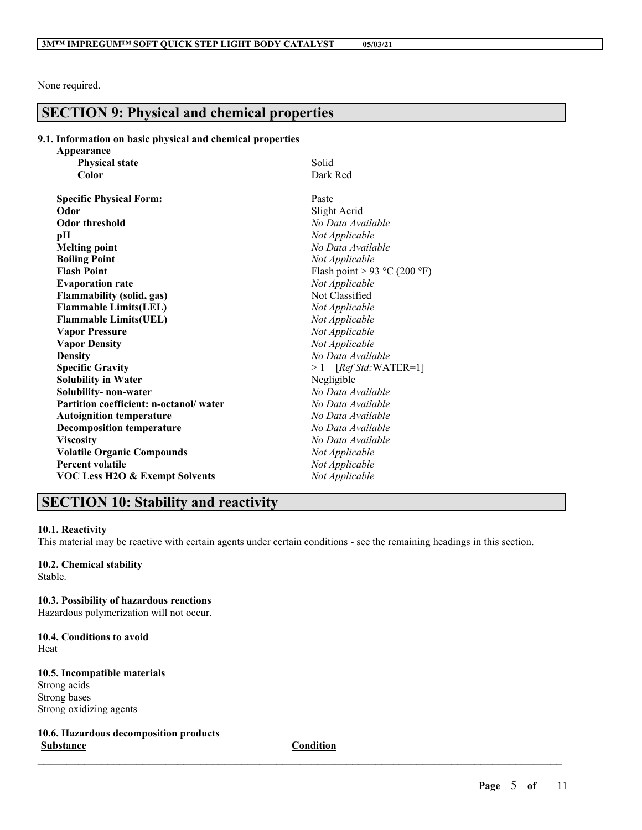None required.

# **SECTION 9: Physical and chemical properties**

#### **9.1. Information on basic physical and chemical properties**

| Appearance                                |                              |
|-------------------------------------------|------------------------------|
| <b>Physical state</b>                     | Solid                        |
| Color                                     | Dark Red                     |
| <b>Specific Physical Form:</b>            | Paste                        |
| Odor                                      | Slight Acrid                 |
| <b>Odor threshold</b>                     | No Data Available            |
| pH                                        | Not Applicable               |
| <b>Melting point</b>                      | No Data Available            |
| <b>Boiling Point</b>                      | Not Applicable               |
| <b>Flash Point</b>                        | Flash point > 93 °C (200 °F) |
| <b>Evaporation rate</b>                   | Not Applicable               |
| <b>Flammability (solid, gas)</b>          | Not Classified               |
| <b>Flammable Limits(LEL)</b>              | Not Applicable               |
| <b>Flammable Limits(UEL)</b>              | Not Applicable               |
| <b>Vapor Pressure</b>                     | Not Applicable               |
| <b>Vapor Density</b>                      | Not Applicable               |
| <b>Density</b>                            | No Data Available            |
| <b>Specific Gravity</b>                   | $>1$ [Ref Std:WATER=1]       |
| <b>Solubility in Water</b>                | Negligible                   |
| Solubility- non-water                     | No Data Available            |
| Partition coefficient: n-octanol/water    | No Data Available            |
| <b>Autoignition temperature</b>           | No Data Available            |
| <b>Decomposition temperature</b>          | No Data Available            |
| <b>Viscosity</b>                          | No Data Available            |
| <b>Volatile Organic Compounds</b>         | Not Applicable               |
| <b>Percent volatile</b>                   | Not Applicable               |
| <b>VOC Less H2O &amp; Exempt Solvents</b> | Not Applicable               |
|                                           |                              |

# **SECTION 10: Stability and reactivity**

#### **10.1. Reactivity**

This material may be reactive with certain agents under certain conditions - see the remaining headings in this section.

# **10.2. Chemical stability**

Stable.

#### **10.3. Possibility of hazardous reactions**

Hazardous polymerization will not occur.

#### **10.4. Conditions to avoid** Heat

# **10.5. Incompatible materials**

Strong acids Strong bases Strong oxidizing agents

**10.6. Hazardous decomposition products Substance Condition**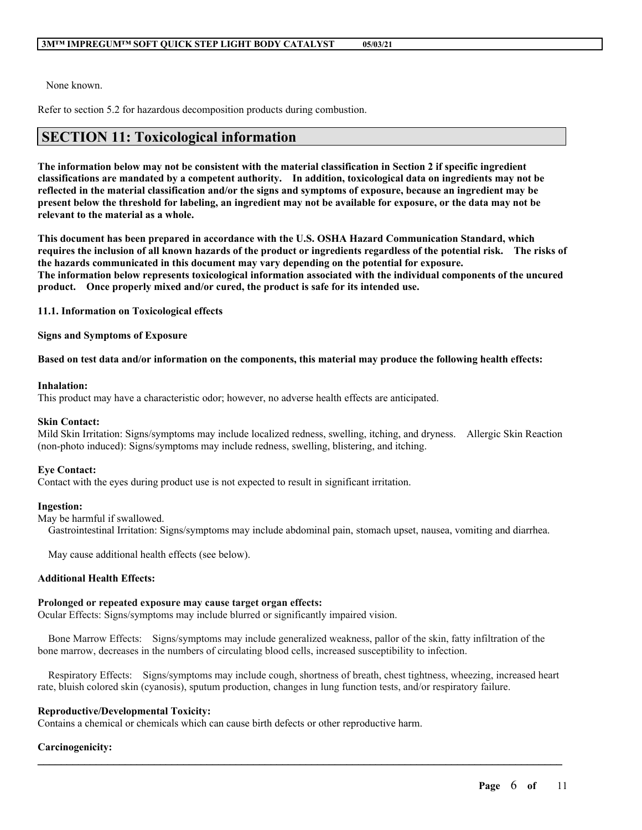None known.

Refer to section 5.2 for hazardous decomposition products during combustion.

# **SECTION 11: Toxicological information**

The information below may not be consistent with the material classification in Section 2 if specific ingredient **classifications are mandated by a competent authority. In addition, toxicological data on ingredients may not be** reflected in the material classification and/or the signs and symptoms of exposure, because an ingredient may be present below the threshold for labeling, an ingredient may not be available for exposure, or the data may not be **relevant to the material as a whole.**

**This document has been prepared in accordance with the U.S. OSHA Hazard Communication Standard, which** requires the inclusion of all known hazards of the product or ingredients regardless of the potential risk. The risks of **the hazards communicated in this document may vary depending on the potential for exposure. The information below represents toxicological information associated with the individual components of the uncured product. Once properly mixed and/or cured, the product is safe for its intended use.**

**11.1. Information on Toxicological effects**

**Signs and Symptoms of Exposure**

#### Based on test data and/or information on the components, this material may produce the following health effects:

#### **Inhalation:**

This product may have a characteristic odor; however, no adverse health effects are anticipated.

#### **Skin Contact:**

Mild Skin Irritation: Signs/symptoms may include localized redness, swelling, itching, and dryness. Allergic Skin Reaction (non-photo induced): Signs/symptoms may include redness, swelling, blistering, and itching.

#### **Eye Contact:**

Contact with the eyes during product use is not expected to result in significant irritation.

#### **Ingestion:**

May be harmful if swallowed.

Gastrointestinal Irritation: Signs/symptoms may include abdominal pain, stomach upset, nausea, vomiting and diarrhea.

May cause additional health effects (see below).

### **Additional Health Effects:**

#### **Prolonged or repeated exposure may cause target organ effects:**

Ocular Effects: Signs/symptoms may include blurred or significantly impaired vision.

Bone Marrow Effects: Signs/symptoms may include generalized weakness, pallor of the skin, fatty infiltration of the bone marrow, decreases in the numbers of circulating blood cells, increased susceptibility to infection.

Respiratory Effects: Signs/symptoms may include cough, shortness of breath, chest tightness, wheezing, increased heart rate, bluish colored skin (cyanosis), sputum production, changes in lung function tests, and/or respiratory failure.

 $\mathcal{L}_\mathcal{L} = \mathcal{L}_\mathcal{L} = \mathcal{L}_\mathcal{L} = \mathcal{L}_\mathcal{L} = \mathcal{L}_\mathcal{L} = \mathcal{L}_\mathcal{L} = \mathcal{L}_\mathcal{L} = \mathcal{L}_\mathcal{L} = \mathcal{L}_\mathcal{L} = \mathcal{L}_\mathcal{L} = \mathcal{L}_\mathcal{L} = \mathcal{L}_\mathcal{L} = \mathcal{L}_\mathcal{L} = \mathcal{L}_\mathcal{L} = \mathcal{L}_\mathcal{L} = \mathcal{L}_\mathcal{L} = \mathcal{L}_\mathcal{L}$ 

### **Reproductive/Developmental Toxicity:**

Contains a chemical or chemicals which can cause birth defects or other reproductive harm.

### **Carcinogenicity:**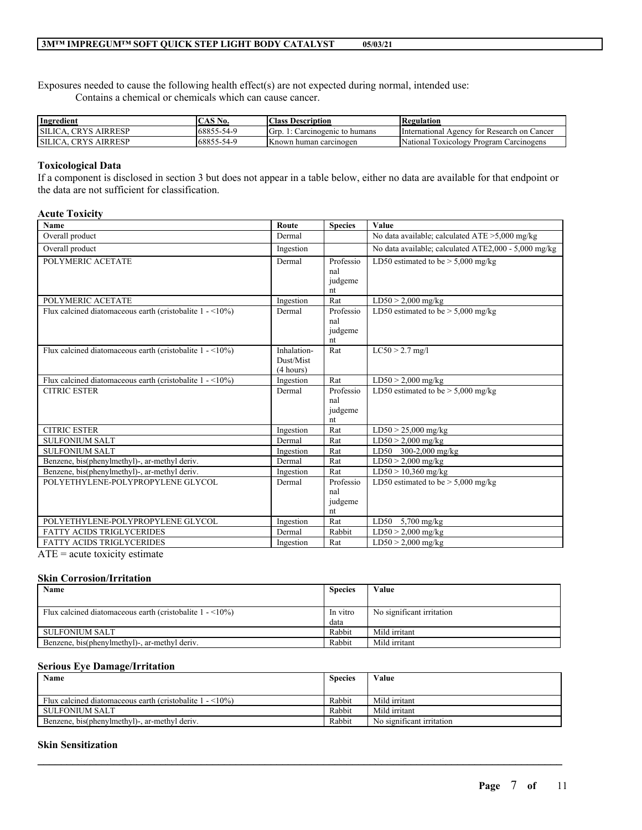Exposures needed to cause the following health effect(s) are not expected during normal, intended use: Contains a chemical or chemicals which can cause cancer.

| Ingredient                               | $\mathbf{S} \mathbf{N}$ o.<br>$\mathbf{A}$ $\mathbf{A}$ | <b>Class Description</b>      | Regulation                                             |
|------------------------------------------|---------------------------------------------------------|-------------------------------|--------------------------------------------------------|
| <b>AIRRESP</b><br>SILICA.<br><b>CRYS</b> | 68855<br>5-54-0                                         | Gre<br>Carcinogenic to humans | International<br>Agency for Research on Cancer         |
| SILICA.<br>CRYS.<br><b>AIRRESP</b>       | 68855<br>-54.0 در                                       | <b>Known human carcinogen</b> | National<br>v Program Carcinogens<br><b>LOXICOLOGY</b> |

#### **Toxicological Data**

If a component is disclosed in section 3 but does not appear in a table below, either no data are available for that endpoint or the data are not sufficient for classification.

#### **Acute Toxicity**

| <b>Name</b>                                                                 | Route                                 | <b>Species</b>                    | Value                                                |
|-----------------------------------------------------------------------------|---------------------------------------|-----------------------------------|------------------------------------------------------|
| Overall product                                                             | Dermal                                |                                   | No data available; calculated $ATE > 5,000$ mg/kg    |
| Overall product                                                             | Ingestion                             |                                   | No data available; calculated ATE2,000 - 5,000 mg/kg |
| POLYMERIC ACETATE                                                           | Dermal                                | Professio<br>nal<br>judgeme<br>nt | LD50 estimated to be $> 5,000$ mg/kg                 |
| POLYMERIC ACETATE                                                           | Ingestion                             | Rat                               | $LD50 > 2,000$ mg/kg                                 |
| Flux calcined diatomaceous earth (cristobalite $1 - \langle 10\% \rangle$ ) | Dermal                                | Professio<br>nal<br>judgeme<br>nt | LD50 estimated to be $> 5,000$ mg/kg                 |
| Flux calcined diatomaceous earth (cristobalite $1 - \langle 10\% \rangle$ ) | Inhalation-<br>Dust/Mist<br>(4 hours) | Rat                               | $LC50 > 2.7$ mg/l                                    |
| Flux calcined diatomaceous earth (cristobalite $1 - \langle 10\% \rangle$ ) | Ingestion                             | Rat                               | $LD50 > 2,000$ mg/kg                                 |
| <b>CITRIC ESTER</b>                                                         | Dermal                                | Professio<br>nal<br>judgeme<br>nt | LD50 estimated to be $> 5,000$ mg/kg                 |
| <b>CITRIC ESTER</b>                                                         | Ingestion                             | Rat                               | $LD50 > 25,000$ mg/kg                                |
| <b>SULFONIUM SALT</b>                                                       | Dermal                                | Rat                               | $LD50 > 2,000$ mg/kg                                 |
| <b>SULFONIUM SALT</b>                                                       | Ingestion                             | Rat                               | LD50 300-2,000 mg/kg                                 |
| Benzene, bis(phenylmethyl)-, ar-methyl deriv.                               | Dermal                                | Rat                               | $LD50 > 2,000$ mg/kg                                 |
| Benzene, bis(phenylmethyl)-, ar-methyl deriv.                               | Ingestion                             | Rat                               | LD50 > 10,360 mg/kg                                  |
| POLYETHYLENE-POLYPROPYLENE GLYCOL                                           | Dermal                                | Professio<br>nal<br>judgeme<br>nt | LD50 estimated to be $> 5,000$ mg/kg                 |
| POLYETHYLENE-POLYPROPYLENE GLYCOL                                           | Ingestion                             | Rat                               | LD50 $5,700$ mg/kg                                   |
| <b>FATTY ACIDS TRIGLYCERIDES</b>                                            | Dermal                                | Rabbit                            | $LD50 > 2,000$ mg/kg                                 |
| <b>FATTY ACIDS TRIGLYCERIDES</b><br>$\sqrt{1}$                              | Ingestion                             | Rat                               | $LD50 > 2,000$ mg/kg                                 |

ATE = acute toxicity estimate

#### **Skin Corrosion/Irritation**

| Name                                                                        | <b>Species</b> | Value                     |
|-----------------------------------------------------------------------------|----------------|---------------------------|
|                                                                             |                |                           |
| Flux calcined diatomaceous earth (cristobalite $1 - \langle 10\% \rangle$ ) | In vitro       | No significant irritation |
|                                                                             | data           |                           |
| SULFONIUM SALT                                                              | Rabbit         | Mild irritant             |
| Benzene, bis(phenylmethyl)-, ar-methyl deriv.                               | Rabbit         | Mild irritant             |

#### **Serious Eye Damage/Irritation**

| Name                                                                        | <b>Species</b> | Value                     |
|-----------------------------------------------------------------------------|----------------|---------------------------|
|                                                                             |                |                           |
| Flux calcined diatomaceous earth (cristobalite $1 - \langle 10\% \rangle$ ) | Rabbit         | Mild irritant             |
| SULFONIUM SALT                                                              | Rabbit         | Mild irritant             |
| Benzene, bis(phenylmethyl)-, ar-methyl deriv.                               | Rabbit         | No significant irritation |

 $\mathcal{L}_\mathcal{L} = \mathcal{L}_\mathcal{L} = \mathcal{L}_\mathcal{L} = \mathcal{L}_\mathcal{L} = \mathcal{L}_\mathcal{L} = \mathcal{L}_\mathcal{L} = \mathcal{L}_\mathcal{L} = \mathcal{L}_\mathcal{L} = \mathcal{L}_\mathcal{L} = \mathcal{L}_\mathcal{L} = \mathcal{L}_\mathcal{L} = \mathcal{L}_\mathcal{L} = \mathcal{L}_\mathcal{L} = \mathcal{L}_\mathcal{L} = \mathcal{L}_\mathcal{L} = \mathcal{L}_\mathcal{L} = \mathcal{L}_\mathcal{L}$ 

#### **Skin Sensitization**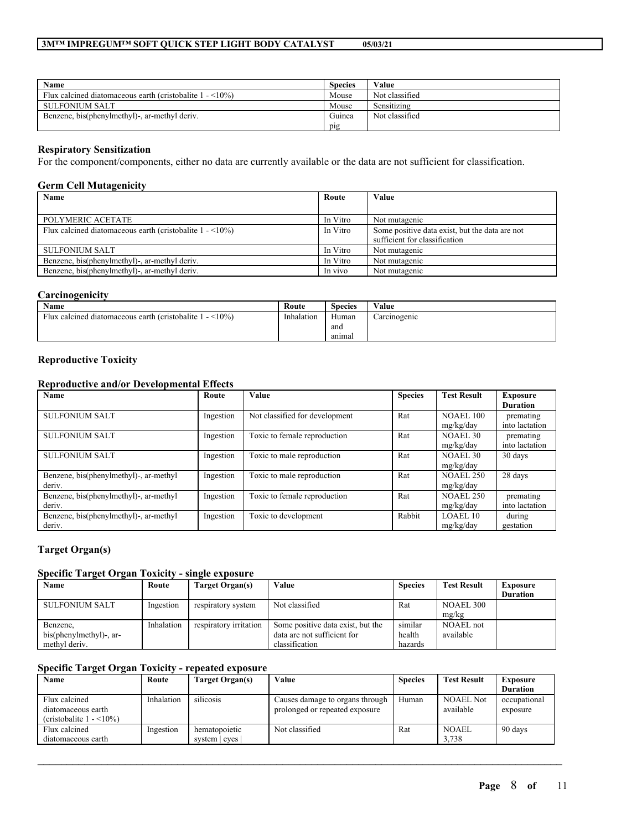| Name                                                                        | <b>Species</b> | Value          |
|-----------------------------------------------------------------------------|----------------|----------------|
| Flux calcined diatomaceous earth (cristobalite $1 - \langle 10\% \rangle$ ) | Mouse          | Not classified |
| SULFONIUM SALT                                                              | Mouse          | Sensitizing    |
| Benzene, bis(phenylmethyl)-, ar-methyl deriv.                               | Guinea         | Not classified |
|                                                                             | pig            |                |

#### **Respiratory Sensitization**

For the component/components, either no data are currently available or the data are not sufficient for classification.

#### **Germ Cell Mutagenicity**

| Name                                                            | Route    | Value                                                                           |
|-----------------------------------------------------------------|----------|---------------------------------------------------------------------------------|
|                                                                 |          |                                                                                 |
| POLYMERIC ACETATE                                               | In Vitro | Not mutagenic                                                                   |
| Flux calcined diatomaceous earth (cristobalite $1 - \le 10\%$ ) | In Vitro | Some positive data exist, but the data are not<br>sufficient for classification |
| <b>SULFONIUM SALT</b>                                           | In Vitro | Not mutagenic                                                                   |
| Benzene, bis(phenylmethyl)-, ar-methyl deriv.                   | In Vitro | Not mutagenic                                                                   |
| Benzene, bis(phenylmethyl)-, ar-methyl deriv.                   | In vivo  | Not mutagenic                                                                   |

# **Carcinogenicity**

| <b>Name</b>                                                               | Route      | $\sim$<br>Species | Value        |
|---------------------------------------------------------------------------|------------|-------------------|--------------|
| $\leq 10\%$<br>Flux calcined diatomaceous earth (cristobalite 1<br>$\sim$ | Inhalation | Human             | Carcinogenic |
|                                                                           |            | and               |              |
|                                                                           |            | anımal            |              |

### **Reproductive Toxicity**

### **Reproductive and/or Developmental Effects**

| Name                                             | Route     | Value                          | <b>Species</b> | <b>Test Result</b>            | <b>Exposure</b><br><b>Duration</b> |
|--------------------------------------------------|-----------|--------------------------------|----------------|-------------------------------|------------------------------------|
| <b>SULFONIUM SALT</b>                            | Ingestion | Not classified for development | Rat            | <b>NOAEL 100</b><br>mg/kg/day | premating<br>into lactation        |
| <b>SULFONIUM SALT</b>                            | Ingestion | Toxic to female reproduction   | Rat            | NOAEL 30<br>mg/kg/day         | premating<br>into lactation        |
| <b>SULFONIUM SALT</b>                            | Ingestion | Toxic to male reproduction     | Rat            | NOAEL 30<br>mg/kg/day         | 30 days                            |
| Benzene, bis(phenylmethyl)-, ar-methyl<br>deriv. | Ingestion | Toxic to male reproduction     | Rat            | <b>NOAEL 250</b><br>mg/kg/day | 28 days                            |
| Benzene, bis(phenylmethyl)-, ar-methyl<br>deriv. | Ingestion | Toxic to female reproduction   | Rat            | <b>NOAEL 250</b><br>mg/kg/day | premating<br>into lactation        |
| Benzene, bis(phenylmethyl)-, ar-methyl<br>deriv. | Ingestion | Toxic to development           | Rabbit         | LOAEL10<br>mg/kg/day          | during<br>gestation                |

# **Target Organ(s)**

#### **Specific Target Organ Toxicity - single exposure**

| Name                                                 | Route      | Target Organ(s)        | Value                                                                              | <b>Species</b>               | <b>Test Result</b>     | Exposure<br><b>Duration</b> |
|------------------------------------------------------|------------|------------------------|------------------------------------------------------------------------------------|------------------------------|------------------------|-----------------------------|
| <b>SULFONIUM SALT</b>                                | Ingestion  | respiratory system     | Not classified                                                                     | Rat                          | NOAEL 300<br>mg/kg     |                             |
| Benzene,<br>bis(phenylmethyl)-, ar-<br>methyl deriv. | Inhalation | respiratory irritation | Some positive data exist, but the<br>data are not sufficient for<br>classification | similar<br>health<br>hazards | NOAEL not<br>available |                             |

# **Specific Target Organ Toxicity - repeated exposure**

| Name                                                                              | Route      | Target Organ(s) | Value                                                             | <b>Species</b> | <b>Test Result</b>            | <b>Exposure</b>          |
|-----------------------------------------------------------------------------------|------------|-----------------|-------------------------------------------------------------------|----------------|-------------------------------|--------------------------|
|                                                                                   |            |                 |                                                                   |                |                               | <b>Duration</b>          |
| Flux calcined<br>diatomaceous earth<br>(cristobalite $1 - \langle 10\% \rangle$ ) | Inhalation | silicosis       | Causes damage to organs through<br>prolonged or repeated exposure | Human          | <b>NOAEL Not</b><br>available | occupational<br>exposure |
| Flux calcined                                                                     | Ingestion  | hematopoietic   | Not classified                                                    | Rat            | <b>NOAEL</b>                  | 90 days                  |
| diatomaceous earth                                                                |            | system   eyes   |                                                                   |                | 3.738                         |                          |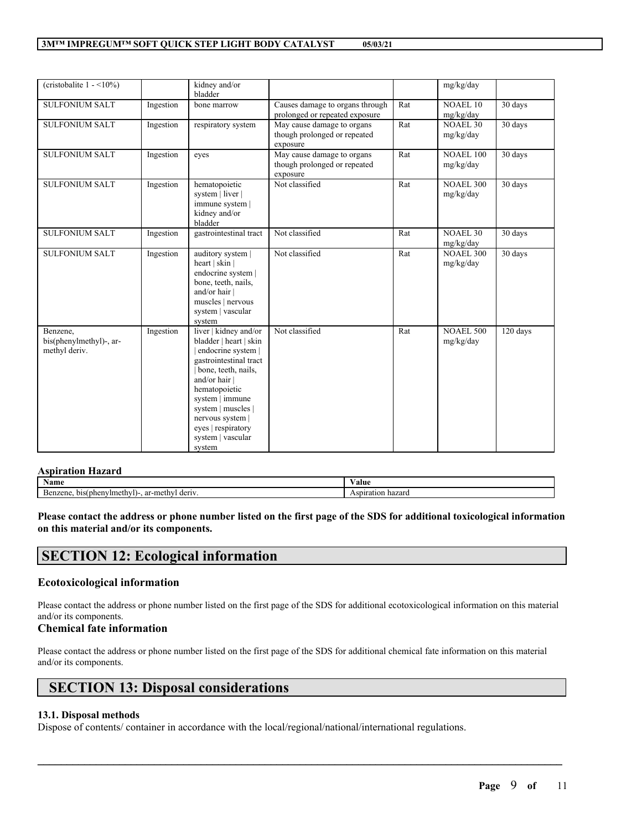| (cristobalite $1 - \langle 10\% \rangle$ )           |           | kidney and/or<br>bladder                                                                                                                                                                                                                                                 |                                                                        |     | mg/kg/day                     |          |
|------------------------------------------------------|-----------|--------------------------------------------------------------------------------------------------------------------------------------------------------------------------------------------------------------------------------------------------------------------------|------------------------------------------------------------------------|-----|-------------------------------|----------|
| <b>SULFONIUM SALT</b>                                | Ingestion | bone marrow                                                                                                                                                                                                                                                              | Causes damage to organs through<br>prolonged or repeated exposure      | Rat | <b>NOAEL 10</b><br>mg/kg/day  | 30 days  |
| <b>SULFONIUM SALT</b>                                | Ingestion | respiratory system                                                                                                                                                                                                                                                       | May cause damage to organs<br>though prolonged or repeated<br>exposure | Rat | <b>NOAEL 30</b><br>mg/kg/day  | 30 days  |
| <b>SULFONIUM SALT</b>                                | Ingestion | eyes                                                                                                                                                                                                                                                                     | May cause damage to organs<br>though prolonged or repeated<br>exposure | Rat | <b>NOAEL 100</b><br>mg/kg/day | 30 days  |
| <b>SULFONIUM SALT</b>                                | Ingestion | hematopoietic<br>system   liver  <br>immune system  <br>kidney and/or<br>bladder                                                                                                                                                                                         | Not classified                                                         | Rat | <b>NOAEL 300</b><br>mg/kg/day | 30 days  |
| <b>SULFONIUM SALT</b>                                | Ingestion | gastrointestinal tract                                                                                                                                                                                                                                                   | Not classified                                                         | Rat | <b>NOAEL 30</b><br>mg/kg/day  | 30 days  |
| <b>SULFONIUM SALT</b>                                | Ingestion | auditory system  <br>heart   skin  <br>endocrine system  <br>bone, teeth, nails,<br>and/or hair<br>muscles   nervous<br>system   vascular<br>system                                                                                                                      | Not classified                                                         | Rat | <b>NOAEL 300</b><br>mg/kg/day | 30 days  |
| Benzene,<br>bis(phenylmethyl)-, ar-<br>methyl deriv. | Ingestion | liver   kidney and/or<br>bladder   heart   skin<br>endocrine system  <br>gastrointestinal tract<br>bone, teeth, nails,<br>and/or hair<br>hematopoietic<br>system   immune<br>system   muscles  <br>nervous system  <br>eyes   respiratory<br>system   vascular<br>system | Not classified                                                         | Rat | <b>NOAEL 500</b><br>mg/kg/day | 120 days |

# **Aspiration Hazard**

| Name                                                                                  | $ -$<br>⁄ alue   |
|---------------------------------------------------------------------------------------|------------------|
| $^{\circ}$<br>٠m<br>deriv<br>a phenyliy<br>bis<br>$\sim$<br>. n<br>21 I C<br>$d\cdot$ | hazarc<br>ratior |

Please contact the address or phone number listed on the first page of the SDS for additional toxicological information **on this material and/or its components.**

# **SECTION 12: Ecological information**

### **Ecotoxicological information**

Please contact the address or phone number listed on the first page of the SDS for additional ecotoxicological information on this material and/or its components.

# **Chemical fate information**

Please contact the address or phone number listed on the first page of the SDS for additional chemical fate information on this material and/or its components.

 $\mathcal{L}_\mathcal{L} = \mathcal{L}_\mathcal{L} = \mathcal{L}_\mathcal{L} = \mathcal{L}_\mathcal{L} = \mathcal{L}_\mathcal{L} = \mathcal{L}_\mathcal{L} = \mathcal{L}_\mathcal{L} = \mathcal{L}_\mathcal{L} = \mathcal{L}_\mathcal{L} = \mathcal{L}_\mathcal{L} = \mathcal{L}_\mathcal{L} = \mathcal{L}_\mathcal{L} = \mathcal{L}_\mathcal{L} = \mathcal{L}_\mathcal{L} = \mathcal{L}_\mathcal{L} = \mathcal{L}_\mathcal{L} = \mathcal{L}_\mathcal{L}$ 

# **SECTION 13: Disposal considerations**

# **13.1. Disposal methods**

Dispose of contents/ container in accordance with the local/regional/national/international regulations.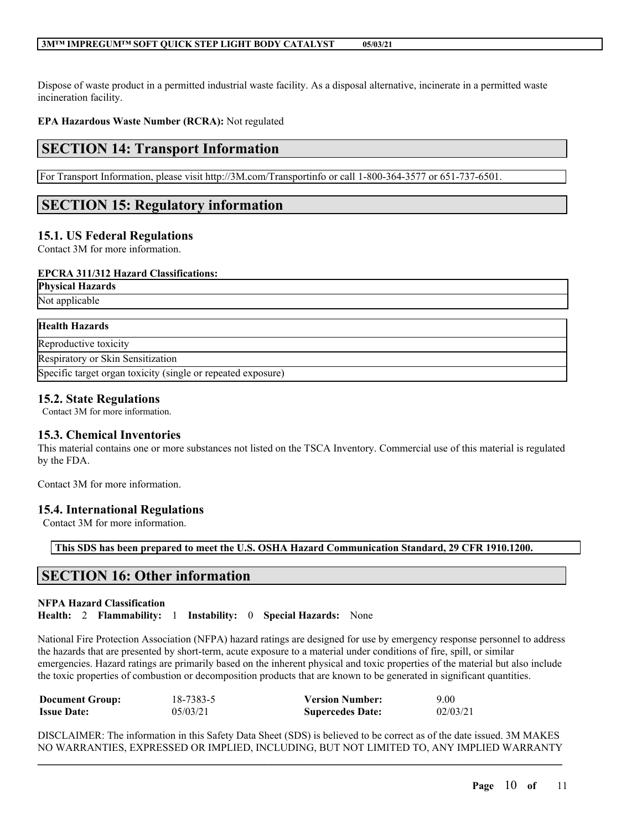Dispose of waste product in a permitted industrial waste facility. As a disposal alternative, incinerate in a permitted waste incineration facility.

**EPA Hazardous Waste Number (RCRA):** Not regulated

# **SECTION 14: Transport Information**

For Transport Information, please visit http://3M.com/Transportinfo or call 1-800-364-3577 or 651-737-6501.

# **SECTION 15: Regulatory information**

# **15.1. US Federal Regulations**

Contact 3M for more information.

#### **EPCRA 311/312 Hazard Classifications:**

| <b>Physical Hazards</b> |  |  |
|-------------------------|--|--|
| Not applicable          |  |  |
| <b>Health Hazards</b>   |  |  |
| Reproductive toxicity   |  |  |

Respiratory or Skin Sensitization

Specific target organ toxicity (single or repeated exposure)

# **15.2. State Regulations**

Contact 3M for more information.

# **15.3. Chemical Inventories**

This material contains one or more substances not listed on the TSCA Inventory. Commercial use of this material is regulated by the FDA.

Contact 3M for more information.

# **15.4. International Regulations**

Contact 3M for more information.

**This SDS has been prepared to meet the U.S. OSHA Hazard Communication Standard, 29 CFR 1910.1200.**

# **SECTION 16: Other information**

### **NFPA Hazard Classification**

**Health:** 2 **Flammability:** 1 **Instability:** 0 **Special Hazards:** None

National Fire Protection Association (NFPA) hazard ratings are designed for use by emergency response personnel to address the hazards that are presented by short-term, acute exposure to a material under conditions of fire, spill, or similar emergencies. Hazard ratings are primarily based on the inherent physical and toxic properties of the material but also include the toxic properties of combustion or decomposition products that are known to be generated in significant quantities.

| <b>Document Group:</b> | 18-7383-5 | <b>Version Number:</b>  | 9.00     |
|------------------------|-----------|-------------------------|----------|
| <b>Issue Date:</b>     | 05/03/21  | <b>Supercedes Date:</b> | 02/03/21 |

 $\mathcal{L}_\mathcal{L} = \mathcal{L}_\mathcal{L} = \mathcal{L}_\mathcal{L} = \mathcal{L}_\mathcal{L} = \mathcal{L}_\mathcal{L} = \mathcal{L}_\mathcal{L} = \mathcal{L}_\mathcal{L} = \mathcal{L}_\mathcal{L} = \mathcal{L}_\mathcal{L} = \mathcal{L}_\mathcal{L} = \mathcal{L}_\mathcal{L} = \mathcal{L}_\mathcal{L} = \mathcal{L}_\mathcal{L} = \mathcal{L}_\mathcal{L} = \mathcal{L}_\mathcal{L} = \mathcal{L}_\mathcal{L} = \mathcal{L}_\mathcal{L}$ DISCLAIMER: The information in this Safety Data Sheet (SDS) is believed to be correct as of the date issued. 3M MAKES NO WARRANTIES, EXPRESSED OR IMPLIED, INCLUDING, BUT NOT LIMITED TO, ANY IMPLIED WARRANTY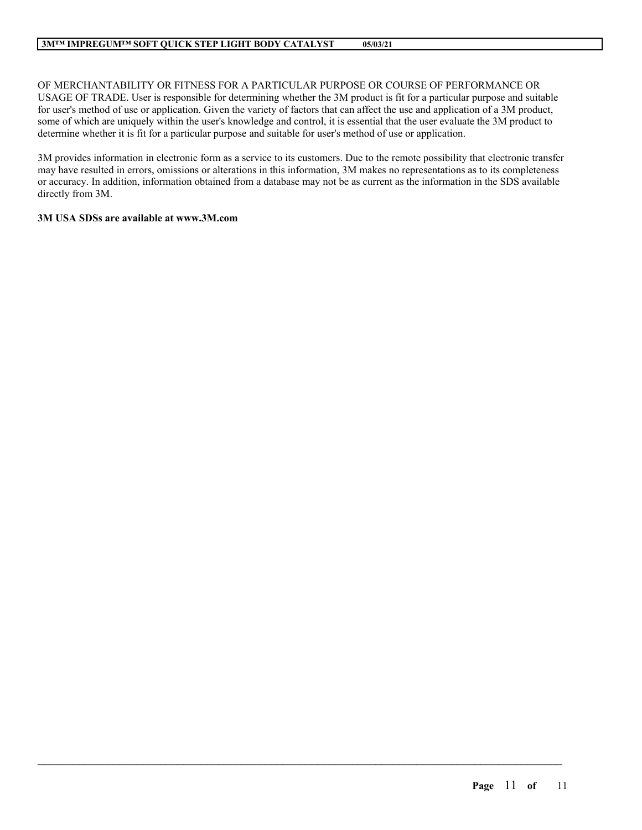OF MERCHANTABILITY OR FITNESS FOR A PARTICULAR PURPOSE OR COURSE OF PERFORMANCE OR USAGE OF TRADE. User is responsible for determining whether the 3M product is fit for a particular purpose and suitable for user's method of use or application. Given the variety of factors that can affect the use and application of a 3M product, some of which are uniquely within the user's knowledge and control, it is essential that the user evaluate the 3M product to determine whether it is fit for a particular purpose and suitable for user's method of use or application.

3M provides information in electronic form as a service to its customers. Due to the remote possibility that electronic transfer may have resulted in errors, omissions or alterations in this information, 3M makes no representations as to its completeness or accuracy. In addition, information obtained from a database may not be as current as the information in the SDS available directly from 3M.

 $\mathcal{L}_\mathcal{L} = \mathcal{L}_\mathcal{L} = \mathcal{L}_\mathcal{L} = \mathcal{L}_\mathcal{L} = \mathcal{L}_\mathcal{L} = \mathcal{L}_\mathcal{L} = \mathcal{L}_\mathcal{L} = \mathcal{L}_\mathcal{L} = \mathcal{L}_\mathcal{L} = \mathcal{L}_\mathcal{L} = \mathcal{L}_\mathcal{L} = \mathcal{L}_\mathcal{L} = \mathcal{L}_\mathcal{L} = \mathcal{L}_\mathcal{L} = \mathcal{L}_\mathcal{L} = \mathcal{L}_\mathcal{L} = \mathcal{L}_\mathcal{L}$ 

### **3M USA SDSs are available at www.3M.com**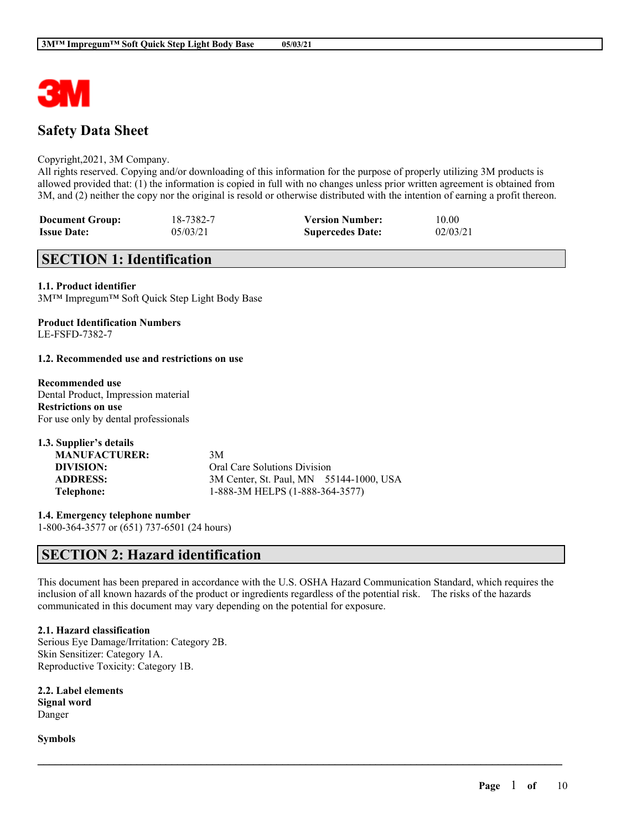

# **Safety Data Sheet**

#### Copyright,2021, 3M Company.

All rights reserved. Copying and/or downloading of this information for the purpose of properly utilizing 3M products is allowed provided that: (1) the information is copied in full with no changes unless prior written agreement is obtained from 3M, and (2) neither the copy nor the original is resold or otherwise distributed with the intention of earning a profit thereon.

| <b>Document Group:</b> | 18-7382-7 | <b>Version Number:</b>  | 10.00    |
|------------------------|-----------|-------------------------|----------|
| <b>Issue Date:</b>     | 05/03/21  | <b>Supercedes Date:</b> | 02/03/21 |

# **SECTION 1: Identification**

#### **1.1. Product identifier**

3M™ Impregum™ Soft Quick Step Light Body Base

#### **Product Identification Numbers** LE-FSFD-7382-7

#### **1.2. Recommended use and restrictions on use**

#### **Recommended use** Dental Product, Impression material **Restrictions on use** For use only by dental professionals

**1.3. Supplier's details MANUFACTURER:** 3M **DIVISION:** Oral Care Solutions Division **ADDRESS:** 3M Center, St. Paul, MN 55144-1000, USA **Telephone:** 1-888-3M HELPS (1-888-364-3577)

**1.4. Emergency telephone number** 1-800-364-3577 or (651) 737-6501 (24 hours)

# **SECTION 2: Hazard identification**

This document has been prepared in accordance with the U.S. OSHA Hazard Communication Standard, which requires the inclusion of all known hazards of the product or ingredients regardless of the potential risk. The risks of the hazards communicated in this document may vary depending on the potential for exposure.

 $\mathcal{L}_\mathcal{L} = \mathcal{L}_\mathcal{L} = \mathcal{L}_\mathcal{L} = \mathcal{L}_\mathcal{L} = \mathcal{L}_\mathcal{L} = \mathcal{L}_\mathcal{L} = \mathcal{L}_\mathcal{L} = \mathcal{L}_\mathcal{L} = \mathcal{L}_\mathcal{L} = \mathcal{L}_\mathcal{L} = \mathcal{L}_\mathcal{L} = \mathcal{L}_\mathcal{L} = \mathcal{L}_\mathcal{L} = \mathcal{L}_\mathcal{L} = \mathcal{L}_\mathcal{L} = \mathcal{L}_\mathcal{L} = \mathcal{L}_\mathcal{L}$ 

### **2.1. Hazard classification**

Serious Eye Damage/Irritation: Category 2B. Skin Sensitizer: Category 1A. Reproductive Toxicity: Category 1B.

**2.2. Label elements Signal word** Danger

**Symbols**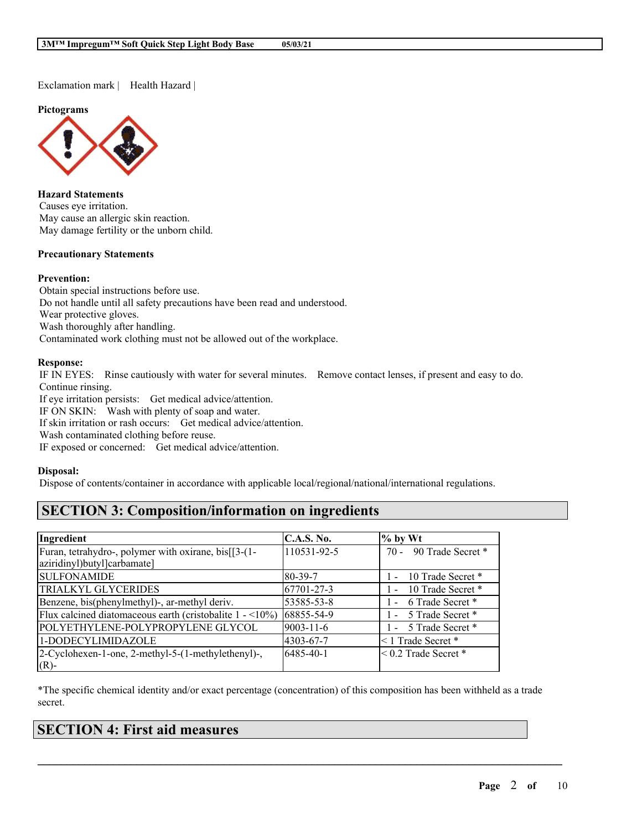Exclamation mark | Health Hazard |

**Pictograms**



**Hazard Statements** Causes eye irritation. May cause an allergic skin reaction. May damage fertility or the unborn child.

#### **Precautionary Statements**

#### **Prevention:**

Obtain special instructions before use. Do not handle until all safety precautions have been read and understood. Wear protective gloves. Wash thoroughly after handling. Contaminated work clothing must not be allowed out of the workplace.

### **Response:**

IF IN EYES: Rinse cautiously with water for several minutes. Remove contact lenses, if present and easy to do. Continue rinsing.

If eye irritation persists: Get medical advice/attention.

IF ON SKIN: Wash with plenty of soap and water.

If skin irritation or rash occurs: Get medical advice/attention.

Wash contaminated clothing before reuse.

IF exposed or concerned: Get medical advice/attention.

#### **Disposal:**

Dispose of contents/container in accordance with applicable local/regional/national/international regulations.

# **SECTION 3: Composition/information on ingredients**

| Ingredient                                                                           | <b>C.A.S. No.</b> | $\%$ by Wt                        |
|--------------------------------------------------------------------------------------|-------------------|-----------------------------------|
| Furan, tetrahydro-, polymer with oxirane, bis[[3-(1-                                 | 110531-92-5       | 70 - 90 Trade Secret *            |
| aziridinyl)butyl]carbamate]                                                          |                   |                                   |
| <b>SULFONAMIDE</b>                                                                   | 80-39-7           | 1 - 10 Trade Secret *             |
| <b>TRIALKYL GLYCERIDES</b>                                                           | 67701-27-3        | 10 Trade Secret *<br>$\mathbf{1}$ |
| Benzene, bis(phenylmethyl)-, ar-methyl deriv.                                        | 53585-53-8        | 1 - 6 Trade Secret *              |
| Flux calcined diatomaceous earth (cristobalite $1 - \langle 10\% \rangle$ 68855-54-9 |                   | 1 - 5 Trade Secret *              |
| POLYETHYLENE-POLYPROPYLENE GLYCOL                                                    | $9003 - 11 - 6$   | 1 - 5 Trade Secret *              |
| 1-DODECYLIMIDAZOLE                                                                   | 4303-67-7         | <1 Trade Secret *                 |
| 2-Cyclohexen-1-one, 2-methyl-5-(1-methylethenyl)-,                                   | 6485-40-1         | $\leq$ 0.2 Trade Secret $*$       |
| $(R)$ -                                                                              |                   |                                   |

\*The specific chemical identity and/or exact percentage (concentration) of this composition has been withheld as a trade secret.

| <b>SECTION 4: First aid measures</b> |
|--------------------------------------|
|                                      |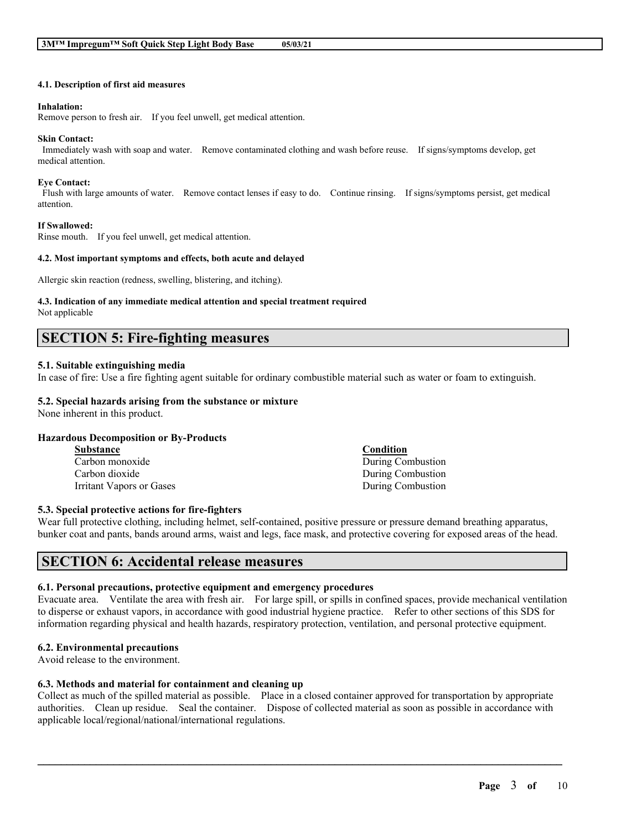#### **4.1. Description of first aid measures**

#### **Inhalation:**

Remove person to fresh air. If you feel unwell, get medical attention.

#### **Skin Contact:**

Immediately wash with soap and water. Remove contaminated clothing and wash before reuse. If signs/symptoms develop, get medical attention.

#### **Eye Contact:**

Flush with large amounts of water. Remove contact lenses if easy to do. Continue rinsing. If signs/symptoms persist, get medical attention.

#### **If Swallowed:**

Rinse mouth. If you feel unwell, get medical attention.

#### **4.2. Most important symptoms and effects, both acute and delayed**

Allergic skin reaction (redness, swelling, blistering, and itching).

# **4.3. Indication of any immediate medical attention and special treatment required**

Not applicable

# **SECTION 5: Fire-fighting measures**

#### **5.1. Suitable extinguishing media**

In case of fire: Use a fire fighting agent suitable for ordinary combustible material such as water or foam to extinguish.

### **5.2. Special hazards arising from the substance or mixture**

None inherent in this product.

### **Hazardous Decomposition or By-Products**

| <b>Substance</b>         | Condition         |
|--------------------------|-------------------|
| Carbon monoxide          | During Combustion |
| Carbon dioxide           | During Combustion |
| Irritant Vapors or Gases | During Combustion |

#### **5.3. Special protective actions for fire-fighters**

Wear full protective clothing, including helmet, self-contained, positive pressure or pressure demand breathing apparatus, bunker coat and pants, bands around arms, waist and legs, face mask, and protective covering for exposed areas of the head.

# **SECTION 6: Accidental release measures**

# **6.1. Personal precautions, protective equipment and emergency procedures**

Evacuate area. Ventilate the area with fresh air. For large spill, or spills in confined spaces, provide mechanical ventilation to disperse or exhaust vapors, in accordance with good industrial hygiene practice. Refer to other sections of this SDS for information regarding physical and health hazards, respiratory protection, ventilation, and personal protective equipment.

# **6.2. Environmental precautions**

Avoid release to the environment.

# **6.3. Methods and material for containment and cleaning up**

Collect as much of the spilled material as possible. Place in a closed container approved for transportation by appropriate authorities. Clean up residue. Seal the container. Dispose of collected material as soon as possible in accordance with applicable local/regional/national/international regulations.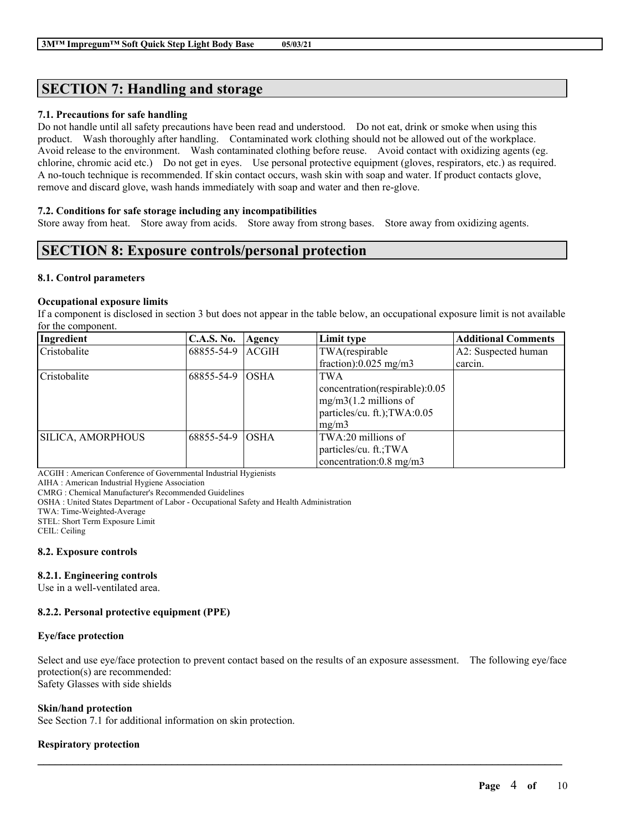# **SECTION 7: Handling and storage**

### **7.1. Precautions for safe handling**

Do not handle until all safety precautions have been read and understood. Do not eat, drink or smoke when using this product. Wash thoroughly after handling. Contaminated work clothing should not be allowed out of the workplace. Avoid release to the environment. Wash contaminated clothing before reuse. Avoid contact with oxidizing agents (eg. chlorine, chromic acid etc.) Do not get in eyes. Use personal protective equipment (gloves, respirators, etc.) as required. A no-touch technique is recommended. If skin contact occurs, wash skin with soap and water. If product contacts glove, remove and discard glove, wash hands immediately with soap and water and then re-glove.

#### **7.2. Conditions for safe storage including any incompatibilities**

Store away from heat. Store away from acids. Store away from strong bases. Store away from oxidizing agents.

# **SECTION 8: Exposure controls/personal protection**

#### **8.1. Control parameters**

#### **Occupational exposure limits**

If a component is disclosed in section 3 but does not appear in the table below, an occupational exposure limit is not available for the component.

| Ingredient               | <b>C.A.S. No.</b> | Agency       | Limit type                                                                                                       | <b>Additional Comments</b> |
|--------------------------|-------------------|--------------|------------------------------------------------------------------------------------------------------------------|----------------------------|
| Cristobalite             | 68855-54-9        | <b>ACGIH</b> | TWA(respirable                                                                                                   | A2: Suspected human        |
|                          |                   |              | fraction): $0.025$ mg/m3                                                                                         | carcin.                    |
| Cristobalite             | 68855-54-9        | <b>OSHA</b>  | <b>TWA</b><br>concentration(respirable):0.05<br>$mg/m3(1.2$ millions of<br>particles/cu. ft.); TWA:0.05<br>mg/m3 |                            |
| <b>SILICA, AMORPHOUS</b> | 68855-54-9        | <b>OSHA</b>  | TWA:20 millions of<br>particles/cu. ft.; TWA<br>concentration: $0.8 \text{ mg/m}$                                |                            |

ACGIH : American Conference of Governmental Industrial Hygienists

AIHA : American Industrial Hygiene Association

CMRG : Chemical Manufacturer's Recommended Guidelines

OSHA : United States Department of Labor - Occupational Safety and Health Administration

TWA: Time-Weighted-Average

STEL: Short Term Exposure Limit

CEIL: Ceiling

#### **8.2. Exposure controls**

### **8.2.1. Engineering controls**

Use in a well-ventilated area.

### **8.2.2. Personal protective equipment (PPE)**

#### **Eye/face protection**

Select and use eye/face protection to prevent contact based on the results of an exposure assessment. The following eye/face protection(s) are recommended: Safety Glasses with side shields

 $\mathcal{L}_\mathcal{L} = \mathcal{L}_\mathcal{L} = \mathcal{L}_\mathcal{L} = \mathcal{L}_\mathcal{L} = \mathcal{L}_\mathcal{L} = \mathcal{L}_\mathcal{L} = \mathcal{L}_\mathcal{L} = \mathcal{L}_\mathcal{L} = \mathcal{L}_\mathcal{L} = \mathcal{L}_\mathcal{L} = \mathcal{L}_\mathcal{L} = \mathcal{L}_\mathcal{L} = \mathcal{L}_\mathcal{L} = \mathcal{L}_\mathcal{L} = \mathcal{L}_\mathcal{L} = \mathcal{L}_\mathcal{L} = \mathcal{L}_\mathcal{L}$ 

#### **Skin/hand protection**

See Section 7.1 for additional information on skin protection.

### **Respiratory protection**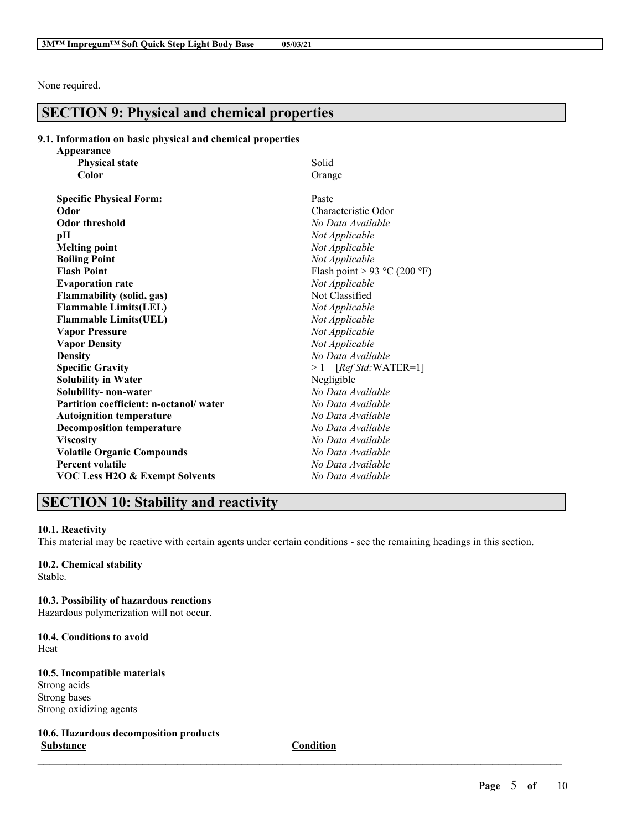None required.

# **SECTION 9: Physical and chemical properties**

### **9.1. Information on basic physical and chemical properties**

| Appearance                                |                              |
|-------------------------------------------|------------------------------|
| <b>Physical state</b>                     | Solid                        |
| Color                                     | Orange                       |
| <b>Specific Physical Form:</b>            | Paste                        |
| Odor                                      | Characteristic Odor          |
| <b>Odor threshold</b>                     | No Data Available            |
| рH                                        | Not Applicable               |
| <b>Melting point</b>                      | Not Applicable               |
| <b>Boiling Point</b>                      | Not Applicable               |
| <b>Flash Point</b>                        | Flash point > 93 °C (200 °F) |
| <b>Evaporation rate</b>                   | Not Applicable               |
| <b>Flammability (solid, gas)</b>          | Not Classified               |
| <b>Flammable Limits(LEL)</b>              | Not Applicable               |
| <b>Flammable Limits(UEL)</b>              | Not Applicable               |
| <b>Vapor Pressure</b>                     | Not Applicable               |
| <b>Vapor Density</b>                      | Not Applicable               |
| <b>Density</b>                            | No Data Available            |
| <b>Specific Gravity</b>                   | $>1$ [Ref Std:WATER=1]       |
| <b>Solubility in Water</b>                | Negligible                   |
| Solubility- non-water                     | No Data Available            |
| Partition coefficient: n-octanol/water    | No Data Available            |
| <b>Autoignition temperature</b>           | No Data Available            |
| <b>Decomposition temperature</b>          | No Data Available            |
| <b>Viscosity</b>                          | No Data Available            |
| <b>Volatile Organic Compounds</b>         | No Data Available            |
| <b>Percent volatile</b>                   | No Data Available            |
| <b>VOC Less H2O &amp; Exempt Solvents</b> | No Data Available            |

# **SECTION 10: Stability and reactivity**

### **10.1. Reactivity**

This material may be reactive with certain agents under certain conditions - see the remaining headings in this section.

# **10.2. Chemical stability**

Stable.

### **10.3. Possibility of hazardous reactions**

Hazardous polymerization will not occur.

#### **10.4. Conditions to avoid** Heat

# **10.5. Incompatible materials**

Strong acids Strong bases Strong oxidizing agents

**10.6. Hazardous decomposition products Substance Condition**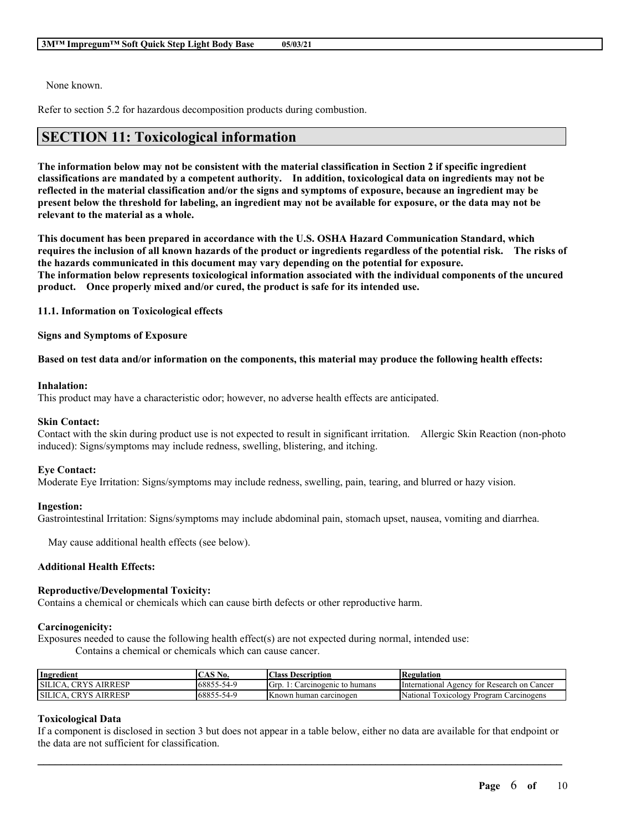None known.

Refer to section 5.2 for hazardous decomposition products during combustion.

# **SECTION 11: Toxicological information**

The information below may not be consistent with the material classification in Section 2 if specific ingredient **classifications are mandated by a competent authority. In addition, toxicological data on ingredients may not be** reflected in the material classification and/or the signs and symptoms of exposure, because an ingredient may be present below the threshold for labeling, an ingredient may not be available for exposure, or the data may not be **relevant to the material as a whole.**

**This document has been prepared in accordance with the U.S. OSHA Hazard Communication Standard, which** requires the inclusion of all known hazards of the product or ingredients regardless of the potential risk. The risks of **the hazards communicated in this document may vary depending on the potential for exposure. The information below represents toxicological information associated with the individual components of the uncured product. Once properly mixed and/or cured, the product is safe for its intended use.**

**11.1. Information on Toxicological effects**

**Signs and Symptoms of Exposure**

#### Based on test data and/or information on the components, this material may produce the following health effects:

#### **Inhalation:**

This product may have a characteristic odor; however, no adverse health effects are anticipated.

#### **Skin Contact:**

Contact with the skin during product use is not expected to result in significant irritation. Allergic Skin Reaction (non-photo induced): Signs/symptoms may include redness, swelling, blistering, and itching.

#### **Eye Contact:**

Moderate Eye Irritation: Signs/symptoms may include redness, swelling, pain, tearing, and blurred or hazy vision.

#### **Ingestion:**

Gastrointestinal Irritation: Signs/symptoms may include abdominal pain, stomach upset, nausea, vomiting and diarrhea.

May cause additional health effects (see below).

#### **Additional Health Effects:**

#### **Reproductive/Developmental Toxicity:**

Contains a chemical or chemicals which can cause birth defects or other reproductive harm.

#### **Carcinogenicity:**

Exposures needed to cause the following health effect(s) are not expected during normal, intended use: Contains a chemical or chemicals which can cause cancer.

| Ingredient                               | CAS No.            | Class.<br>; Description       | Regulation                                      |
|------------------------------------------|--------------------|-------------------------------|-------------------------------------------------|
| <b>CRYS</b><br>SILICA.<br><b>AIRRESP</b> | 68855-54-9         | Grp.<br>arcinogenic to humans | International Agency<br>tor Research on Cancer  |
| SILICA.<br>CRYS<br><b>AIRRESP</b>        | 168855<br>0-54 - ي | <b>Known human carcinogen</b> | National<br>Toxicology<br>' Program Carcinogens |

### **Toxicological Data**

If a component is disclosed in section 3 but does not appear in a table below, either no data are available for that endpoint or the data are not sufficient for classification.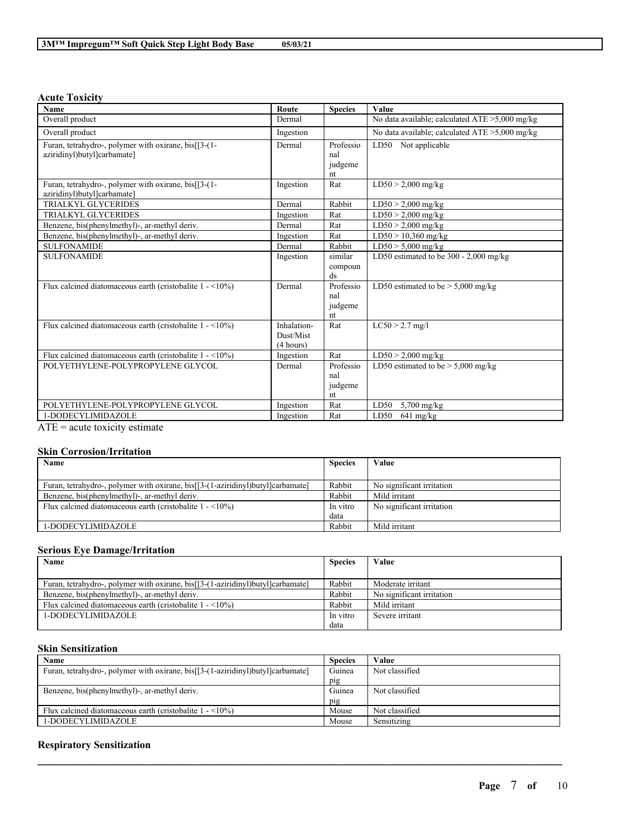#### **Acute Toxicity**

| <b>Name</b>                                                                         | Route                                 | <b>Species</b>                    | Value                                             |
|-------------------------------------------------------------------------------------|---------------------------------------|-----------------------------------|---------------------------------------------------|
| Overall product                                                                     | Dermal                                |                                   | No data available; calculated $ATE > 5,000$ mg/kg |
| Overall product                                                                     | Ingestion                             |                                   | No data available; calculated $ATE > 5,000$ mg/kg |
| Furan, tetrahydro-, polymer with oxirane, bis[[3-(1-<br>aziridinyl)butyl]carbamate] | Dermal                                | Professio<br>nal<br>judgeme<br>nt | LD50 Not applicable                               |
| Furan, tetrahydro-, polymer with oxirane, bis[[3-(1-<br>aziridinyl)butyl]carbamate] | Ingestion                             | Rat                               | $LD50 > 2,000$ mg/kg                              |
| <b>TRIALKYL GLYCERIDES</b>                                                          | Dermal                                | Rabbit                            | $\overline{\text{LD50}}$ > 2,000 mg/kg            |
| <b>TRIALKYL GLYCERIDES</b>                                                          | Ingestion                             | Rat                               | $LD50 > 2,000$ mg/kg                              |
| Benzene, bis(phenylmethyl)-, ar-methyl deriv.                                       | Dermal                                | Rat                               | $LD50 > 2,000$ mg/kg                              |
| Benzene, bis(phenylmethyl)-, ar-methyl deriv.                                       | Ingestion                             | Rat                               | $LD50 > 10,360$ mg/kg                             |
| <b>SULFONAMIDE</b>                                                                  | Dermal                                | Rabbit                            | $LD50 > 5,000$ mg/kg                              |
| <b>SULFONAMIDE</b>                                                                  | Ingestion                             | similar<br>compoun<br>ds          | LD50 estimated to be 300 - 2,000 mg/kg            |
| Flux calcined diatomaceous earth (cristobalite $1 - \langle 10\% \rangle$ )         | Dermal                                | Professio<br>nal<br>judgeme<br>nt | LD50 estimated to be $> 5,000$ mg/kg              |
| Flux calcined diatomaceous earth (cristobalite $1 - \frac{10\%}{ }$ )               | Inhalation-<br>Dust/Mist<br>(4 hours) | Rat                               | $LC50 > 2.7$ mg/l                                 |
| Flux calcined diatomaceous earth (cristobalite $1 - \langle 10\% \rangle$ )         | Ingestion                             | Rat                               | $LD50 > 2,000$ mg/kg                              |
| POLYETHYLENE-POLYPROPYLENE GLYCOL                                                   | Dermal                                | Professio<br>nal<br>judgeme<br>nt | LD50 estimated to be $> 5,000$ mg/kg              |
| POLYETHYLENE-POLYPROPYLENE GLYCOL                                                   | Ingestion                             | Rat                               | LD50<br>$5,700$ mg/kg                             |
| 1-DODECYLIMIDAZOLE                                                                  | Ingestion                             | Rat                               | LD50<br>$641$ mg/kg                               |

 $\overline{ATE}$  = acute toxicity estimate

#### **Skin Corrosion/Irritation**

| Name                                                                            | <b>Species</b> | Value                     |
|---------------------------------------------------------------------------------|----------------|---------------------------|
|                                                                                 |                |                           |
| Furan, tetrahydro-, polymer with oxirane, bis[[3-(1-aziridinyl)butyl]carbamate] | Rabbit         | No significant irritation |
| Benzene, bis(phenylmethyl)-, ar-methyl deriv.                                   | Rabbit         | Mild irritant             |
| Flux calcined diatomaceous earth (cristobalite $1 - \langle 10\% \rangle$ )     | In vitro       | No significant irritation |
|                                                                                 | data           |                           |
| 1-DODECYLIMIDAZOLE                                                              | Rabbit         | Mild irritant             |

# **Serious Eye Damage/Irritation**

| Name<br><b>Species</b>                                                          |          | Value                     |
|---------------------------------------------------------------------------------|----------|---------------------------|
|                                                                                 |          |                           |
| Furan, tetrahydro-, polymer with oxirane, bis[[3-(1-aziridinyl)butyl]carbamate] | Rabbit   | Moderate irritant         |
| Benzene, bis(phenylmethyl)-, ar-methyl deriv.                                   | Rabbit   | No significant irritation |
| Flux calcined diatomaceous earth (cristobalite $1 - \langle 10\% \rangle$ )     | Rabbit   | Mild irritant             |
| 1-DODECYLIMIDAZOLE                                                              | In vitro | Severe irritant           |
|                                                                                 | data     |                           |

# **Skin Sensitization**

| Name                                                                            | <b>Species</b> | Value          |
|---------------------------------------------------------------------------------|----------------|----------------|
| Furan, tetrahydro-, polymer with oxirane, bis[[3-(1-aziridinyl)butyl]carbamate] | Guinea         | Not classified |
|                                                                                 | pig            |                |
| Benzene, bis(phenylmethyl)-, ar-methyl deriv.                                   | Guinea         | Not classified |
|                                                                                 | pig            |                |
| Flux calcined diatomaceous earth (cristobalite $1 - \langle 10\% \rangle$ )     | Mouse          | Not classified |
| 1-DODECYLIMIDAZOLE                                                              | Mouse          | Sensitizing    |

 $\mathcal{L}_\mathcal{L} = \mathcal{L}_\mathcal{L} = \mathcal{L}_\mathcal{L} = \mathcal{L}_\mathcal{L} = \mathcal{L}_\mathcal{L} = \mathcal{L}_\mathcal{L} = \mathcal{L}_\mathcal{L} = \mathcal{L}_\mathcal{L} = \mathcal{L}_\mathcal{L} = \mathcal{L}_\mathcal{L} = \mathcal{L}_\mathcal{L} = \mathcal{L}_\mathcal{L} = \mathcal{L}_\mathcal{L} = \mathcal{L}_\mathcal{L} = \mathcal{L}_\mathcal{L} = \mathcal{L}_\mathcal{L} = \mathcal{L}_\mathcal{L}$ 

#### **Respiratory Sensitization**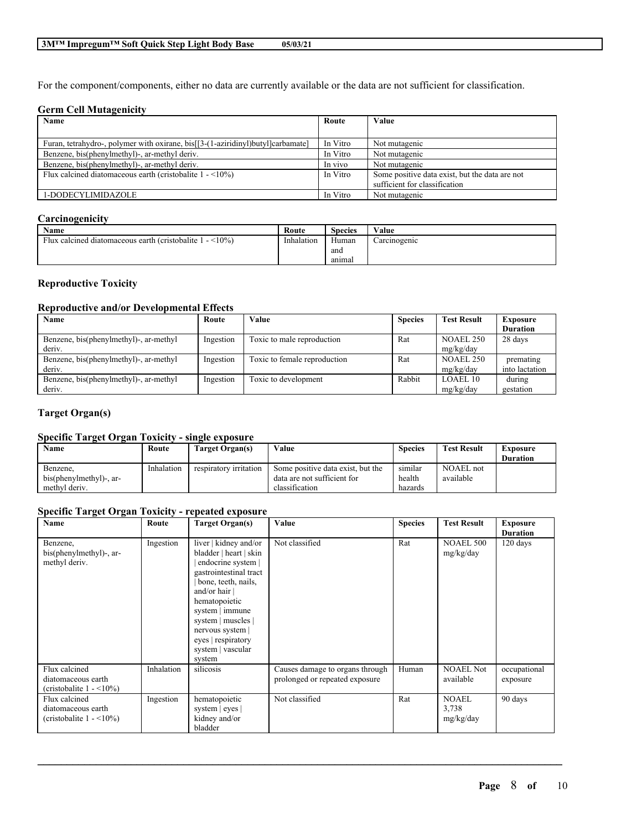For the component/components, either no data are currently available or the data are not sufficient for classification.

### **Germ Cell Mutagenicity**

| Name                                                                            | Route    | Value                                                                           |
|---------------------------------------------------------------------------------|----------|---------------------------------------------------------------------------------|
|                                                                                 |          |                                                                                 |
| Furan, tetrahydro-, polymer with oxirane, bis[[3-(1-aziridinyl)butyl]carbamate] | In Vitro | Not mutagenic                                                                   |
| Benzene, bis(phenylmethyl)-, ar-methyl deriv.                                   | In Vitro | Not mutagenic                                                                   |
| Benzene, bis(phenylmethyl)-, ar-methyl deriv.                                   | In vivo  | Not mutagenic                                                                   |
| Flux calcined diatomaceous earth (cristobalite $1 - \langle 10\% \rangle$ )     | In Vitro | Some positive data exist, but the data are not<br>sufficient for classification |
| 1-DODECYLIMIDAZOLE                                                              | In Vitro | Not mutagenic                                                                   |

### **Carcinogenicity**

| Name                                                            | Route      | <b>Species</b> | Value        |
|-----------------------------------------------------------------|------------|----------------|--------------|
| $<$ l $0\%$<br>Flux calcined diatomaceous earth (cristobalite 1 | Inhalation | Human          | Carcinogenic |
|                                                                 |            | ano            |              |
|                                                                 |            | anımal         |              |

# **Reproductive Toxicity**

### **Reproductive and/or Developmental Effects**

| Name                                   | Route     | Value                        | <b>Species</b> | <b>Test Result</b> | <b>Exposure</b> |
|----------------------------------------|-----------|------------------------------|----------------|--------------------|-----------------|
|                                        |           |                              |                |                    | <b>Duration</b> |
| Benzene, bis(phenylmethyl)-, ar-methyl | Ingestion | Toxic to male reproduction   | Rat            | NOAEL 250          | 28 days         |
| deriv.                                 |           |                              |                | mg/kg/day          |                 |
| Benzene, bis(phenylmethyl)-, ar-methyl | Ingestion | Toxic to female reproduction | Rat            | <b>NOAEL 250</b>   | premating       |
| deriv.                                 |           |                              |                | mg/kg/day          | into lactation  |
| Benzene, bis(phenylmethyl)-, ar-methyl | Ingestion | Toxic to development         | Rabbit         | LOAEL10            | during          |
| deriv.                                 |           |                              |                | mg/kg/day          | gestation       |

### **Target Organ(s)**

### **Specific Target Organ Toxicity - single exposure**

| Name                    | Route      | Target Organ(s)        | Value                             | <b>Species</b> | <b>Test Result</b> | <b>Exposure</b> |
|-------------------------|------------|------------------------|-----------------------------------|----------------|--------------------|-----------------|
|                         |            |                        |                                   |                |                    | <b>Duration</b> |
| Benzene.                | Inhalation | respiratory irritation | Some positive data exist, but the | similar        | <b>NOAEL</b> not   |                 |
| bis(phenylmethyl)-, ar- |            |                        | data are not sufficient for       | health         | available          |                 |
| methyl deriv.           |            |                        | classification                    | hazards        |                    |                 |

#### **Specific Target Organ Toxicity - repeated exposure**

| Name                                                                              | Route      | <b>Target Organ(s)</b>                                                                                                                                                                                                                                                     | Value                                                             | <b>Species</b> | <b>Test Result</b>            | <b>Exposure</b>          |
|-----------------------------------------------------------------------------------|------------|----------------------------------------------------------------------------------------------------------------------------------------------------------------------------------------------------------------------------------------------------------------------------|-------------------------------------------------------------------|----------------|-------------------------------|--------------------------|
|                                                                                   |            |                                                                                                                                                                                                                                                                            |                                                                   |                |                               | <b>Duration</b>          |
| Benzene,<br>bis(phenylmethyl)-, ar-<br>methyl deriv.                              | Ingestion  | liver   kidney and/or<br>bladder   heart   skin<br>endocrine system  <br>gastrointestinal tract<br>bone, teeth, nails,<br>and/or hair $ $<br>hematopoietic<br>system   immune<br>system   muscles  <br>nervous system<br>eyes   respiratory<br>system   vascular<br>system | Not classified                                                    | Rat            | <b>NOAEL 500</b><br>mg/kg/day | 120 days                 |
| Flux calcined<br>diatomaceous earth<br>(cristobalite $1 - \langle 10\% \rangle$ ) | Inhalation | silicosis                                                                                                                                                                                                                                                                  | Causes damage to organs through<br>prolonged or repeated exposure | Human          | <b>NOAEL Not</b><br>available | occupational<br>exposure |
| Flux calcined<br>diatomaceous earth<br>(cristobalite $1 - \langle 10\% \rangle$ ) | Ingestion  | hematopoietic<br>system $ $ eyes $ $<br>kidney and/or<br>bladder                                                                                                                                                                                                           | Not classified                                                    | Rat            | NOAEL<br>3,738<br>mg/kg/day   | 90 days                  |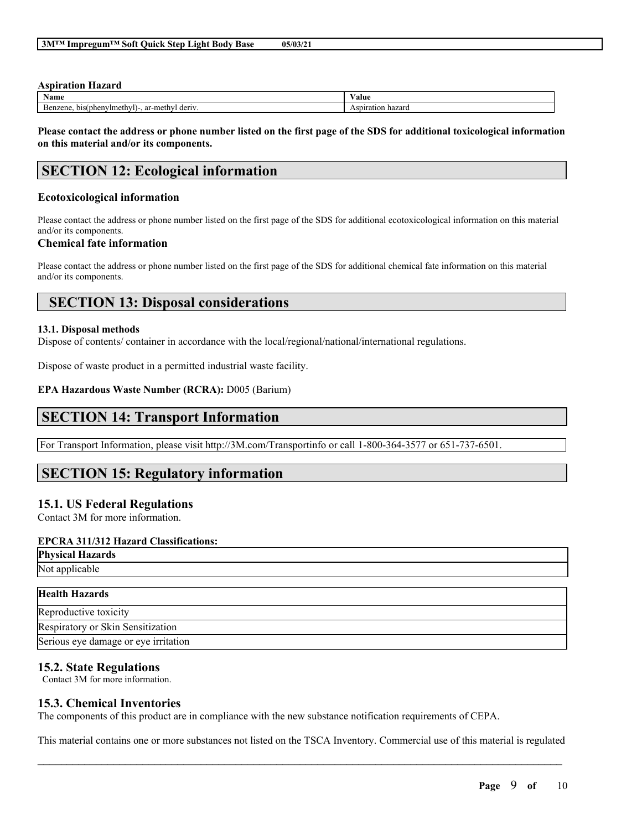#### **Aspiration Hazard Name Value** Benzene, bis(phenylmethyl)-, ar-methyl deriv. Aspiration hazard

Please contact the address or phone number listed on the first page of the SDS for additional toxicological information **on this material and/or its components.**

# **SECTION 12: Ecological information**

### **Ecotoxicological information**

Please contact the address or phone number listed on the first page of the SDS for additional ecotoxicological information on this material and/or its components.

### **Chemical fate information**

Please contact the address or phone number listed on the first page of the SDS for additional chemical fate information on this material and/or its components.

# **SECTION 13: Disposal considerations**

#### **13.1. Disposal methods**

Dispose of contents/ container in accordance with the local/regional/national/international regulations.

Dispose of waste product in a permitted industrial waste facility.

#### **EPA Hazardous Waste Number (RCRA):** D005 (Barium)

# **SECTION 14: Transport Information**

For Transport Information, please visit http://3M.com/Transportinfo or call 1-800-364-3577 or 651-737-6501.

# **SECTION 15: Regulatory information**

# **15.1. US Federal Regulations**

Contact 3M for more information.

### **EPCRA 311/312 Hazard Classifications:**

| - --<br>Physical<br>cal Hazards.   |  |
|------------------------------------|--|
| Not app $\ldots$<br>упсаріе<br>. . |  |
|                                    |  |

| <b>Health Hazards</b>                |
|--------------------------------------|
| Reproductive toxicity                |
| Respiratory or Skin Sensitization    |
| Serious eye damage or eye irritation |

# **15.2. State Regulations**

Contact 3M for more information.

# **15.3. Chemical Inventories**

The components of this product are in compliance with the new substance notification requirements of CEPA.

 $\mathcal{L}_\mathcal{L} = \mathcal{L}_\mathcal{L} = \mathcal{L}_\mathcal{L} = \mathcal{L}_\mathcal{L} = \mathcal{L}_\mathcal{L} = \mathcal{L}_\mathcal{L} = \mathcal{L}_\mathcal{L} = \mathcal{L}_\mathcal{L} = \mathcal{L}_\mathcal{L} = \mathcal{L}_\mathcal{L} = \mathcal{L}_\mathcal{L} = \mathcal{L}_\mathcal{L} = \mathcal{L}_\mathcal{L} = \mathcal{L}_\mathcal{L} = \mathcal{L}_\mathcal{L} = \mathcal{L}_\mathcal{L} = \mathcal{L}_\mathcal{L}$ This material contains one or more substances not listed on the TSCA Inventory. Commercial use of this material is regulated